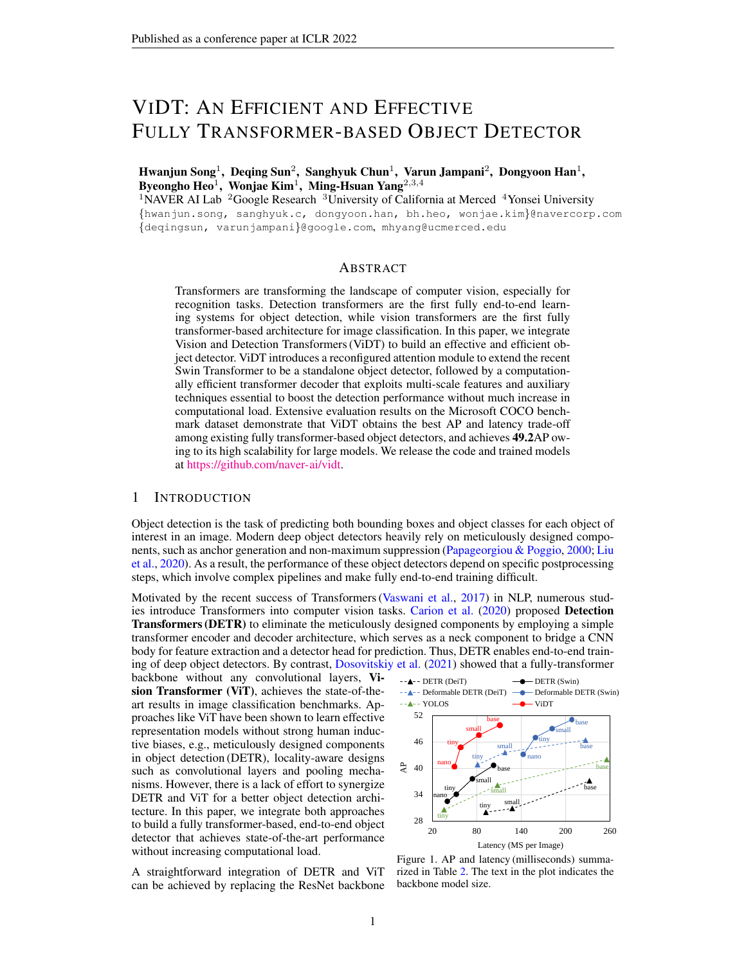# <span id="page-0-1"></span>VIDT: AN EFFICIENT AND EFFECTIVE FULLY TRANSFORMER-BASED OBJECT DETECTOR

Hwanjun Song $^1$ , Deqing Sun $^2$ , Sanghyuk Chun $^1$ , Varun Jampani $^2$ , Dongyoon Han $^1$ , Byeongho Heo $^1$ , Wonjae Kim $^1$ , Ming-Hsuan Yang $^{2,3,4}$ 

<sup>1</sup>NAVER AI Lab <sup>2</sup>Google Research <sup>3</sup>University of California at Merced <sup>4</sup>Yonsei University {hwanjun.song, sanghyuk.c, dongyoon.han, bh.heo, wonjae.kim}@navercorp.com {deqingsun, varunjampani}@google.com, mhyang@ucmerced.edu

# **ABSTRACT**

Transformers are transforming the landscape of computer vision, especially for recognition tasks. Detection transformers are the first fully end-to-end learning systems for object detection, while vision transformers are the first fully transformer-based architecture for image classification. In this paper, we integrate Vision and Detection Transformers (ViDT) to build an effective and efficient object detector. ViDT introduces a reconfigured attention module to extend the recent Swin Transformer to be a standalone object detector, followed by a computationally efficient transformer decoder that exploits multi-scale features and auxiliary techniques essential to boost the detection performance without much increase in computational load. Extensive evaluation results on the Microsoft COCO benchmark dataset demonstrate that ViDT obtains the best AP and latency trade-off among existing fully transformer-based object detectors, and achieves 49.2AP owing to its high scalability for large models. We release the code and trained models at [https://github.com/naver-ai/vidt.](https://github.com/naver-ai/vidt)

### 1 INTRODUCTION

Object detection is the task of predicting both bounding boxes and object classes for each object of interest in an image. Modern deep object detectors heavily rely on meticulously designed components, such as anchor generation and non-maximum suppression [\(Papageorgiou & Poggio,](#page-10-0) [2000;](#page-10-0) [Liu](#page-10-1) [et al.,](#page-10-1) [2020\)](#page-10-1). As a result, the performance of these object detectors depend on specific postprocessing steps, which involve complex pipelines and make fully end-to-end training difficult.

Motivated by the recent success of Transformers [\(Vaswani et al.,](#page-10-2) [2017\)](#page-10-2) in NLP, numerous stud-ies introduce Transformers into computer vision tasks. [Carion et al.](#page-9-0) [\(2020\)](#page-9-0) proposed Detection Transformers (DETR) to eliminate the meticulously designed components by employing a simple transformer encoder and decoder architecture, which serves as a neck component to bridge a CNN body for feature extraction and a detector head for prediction. Thus, DETR enables end-to-end training of deep object detectors. By contrast, [Dosovitskiy et al.](#page-9-1) [\(2021\)](#page-9-1) showed that a fully-transformer

backbone without any convolutional layers, Vision Transformer (ViT), achieves the state-of-theart results in image classification benchmarks. Approaches like ViT have been shown to learn effective representation models without strong human inductive biases, e.g., meticulously designed components in object detection (DETR), locality-aware designs such as convolutional layers and pooling mechanisms. However, there is a lack of effort to synergize DETR and ViT for a better object detection architecture. In this paper, we integrate both approaches to build a fully transformer-based, end-to-end object detector that achieves state-of-the-art performance without increasing computational load.

A straightforward integration of DETR and ViT can be achieved by replacing the ResNet backbone

<span id="page-0-0"></span>

Figure 1. AP and latency (milliseconds) summarized in Table [2.](#page-6-0) The text in the plot indicates the backbone model size.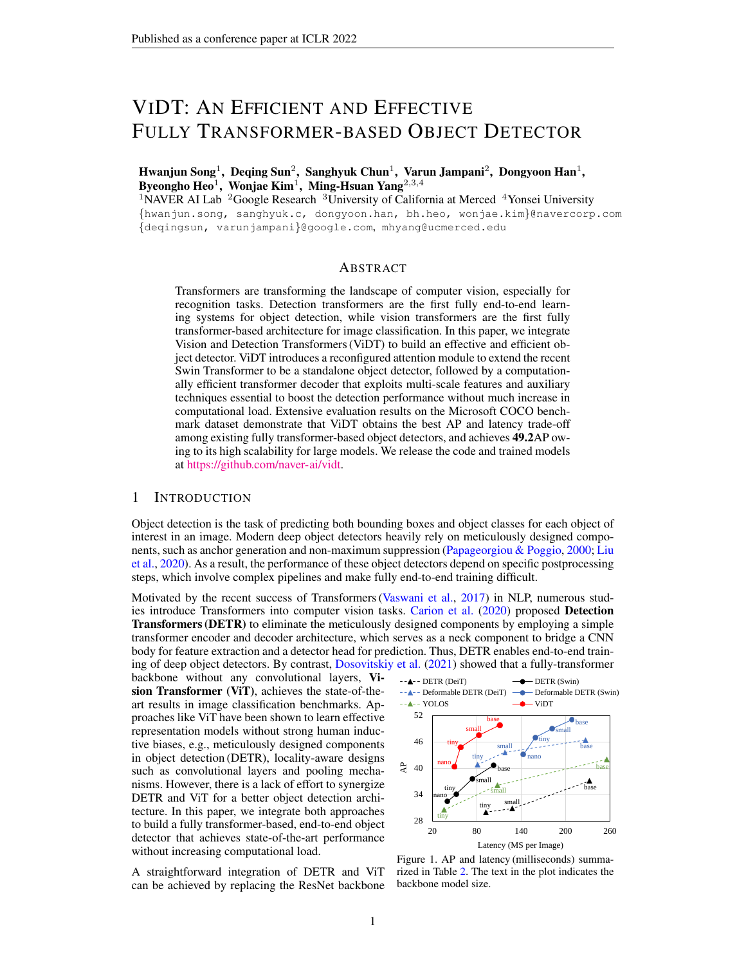<span id="page-1-2"></span><span id="page-1-0"></span>

Figure 2. Pipelines of fully transformer-based object detectors. DETR (ViT) means Detection Transformer that uses ViT as its body. The proposed ViDT synergizes DETR (ViT) and YOLOS and achieves best AP and latency trade-off among fully transformer-based object detectors.

(body) of DETR with ViT – Figure [2\(](#page-1-0)a). This naive integration, **DETR** (ViT)<sup>[1](#page-1-1)</sup>, has two limitations. First, the canonical ViT suffers from the quadratic increase in complexity w.r.t. image size, resulting in the lack of scalability. Furthermore, the attention operation at the transformer encoder and decoder (i.e., the "neck" component) adds significant computational overhead to the detector. Therefore, the naive integration of DETR and ViT show very high latency – the blue lines of Figure [1.](#page-0-0)

Recently, [Fang et al.](#page-9-2) [\(2021\)](#page-9-2) propose an extension of ViT to object detection, named **YOLOS**, by appending the detection tokens [DET] to the patch tokens [PATCH] (Figure [2\(](#page-1-0)b)), where [DET] tokens are learnable embeddings to specify different objects to detect. YOLOS is a neck-free architecture and removes the additional computational costs from the neck encoder. However, YOLOS shows limited performance because it cannot use additional optimization techniques on the neck architecture, e.g., multi-scale features and auxiliary loss. In addition, YOLOS can only accommodate the canonical transformer due to its architectural limitation, resulting in a quadratic complexity w.r.t. the input size.

In this paper, we propose a novel integration of Vision and Detection Transformers (ViDT) (Figure [2\(](#page-1-0)c)). Our contributions are three-folds. First, ViDT introduces a modified attention mechanism, named Reconfigured Attention Module (RAM), that facilitates any ViT variant to handle the appended [DET] and [PATCH] tokens for object detection. Thus, we can modify the latest Swin Transformer [\(Liu et al.,](#page-10-3) [2021\)](#page-10-3) backbone with RAM to be an object detector and obtain high scalability using its local attention mechanism with linear complexity. Second, ViDT adopts a lightweight encoder-free neck architecture to reduce the computational overhead while still enabling the additional optimization techniques on the neck module. Note that the neck encoder is unnecessary because RAM directly extracts fine-grained representation for object detection, i.e., [DET] tokens. As a result, ViDT obtains better performance than neck-free counterparts. Finally, we introduce a new concept of token matching for knowledge distillation, which brings additional performance gains from a large model to a small model without compromising detection efficiency.

ViDT has two architectural advantages over existing approaches. First, similar to YOLOS, ViDT takes [DET] tokens as the additional input, maintaining a fixed scale for object detection, but constructs hierarchical representations starting with small-sized image patches for [PATCH] tokens. Second, ViDT can use the hierarchical (multi-scale) features and additional techniques without a significant computation overhead. Therefore, as a fully transformer-based object detector, ViDT facilitates better integration of vision and detection transformers. Extensive experiments on Microsoft COCO benchmark [\(Lin et al.,](#page-9-3) [2014\)](#page-9-3) show that ViDT is highly scalable even for large ViT models, such as Swin-base with 0.1 billion parameters, and achieves the best AP and latency trade-off.

# 2 PRELIMINARIES

Vision transformers process an image as a sequence of small-sized image patches, thereby allowing all the positions in the image to interact in attention operations (i.e., global attention). However, the canonical ViT [\(Dosovitskiy et al.,](#page-9-1) [2021\)](#page-9-1) is not compatible with a broad range of vision tasks due to its high computational complexity, which increases quadratically with respect to image size. The Swin Transformer [\(Liu et al.,](#page-10-3) [2021\)](#page-10-3) resolves the complexity issue by introducing the notion of shifted windows that support local attention and patch reduction operations, thereby improving compatibility for dense prediction task such as object detection. A few approaches use vision transformers as detector backbones but achieve limited success [\(Heo et al.,](#page-9-4) [2021;](#page-9-4) [Fang et al.,](#page-9-2) [2021\)](#page-9-2).

<span id="page-1-1"></span><sup>&</sup>lt;sup>1</sup>We refer to each model based on the combinations of its body and neck. For example, DETR (DeiT) indicates that DeiT (vision transformers) is integrated with DETR (detection transformers).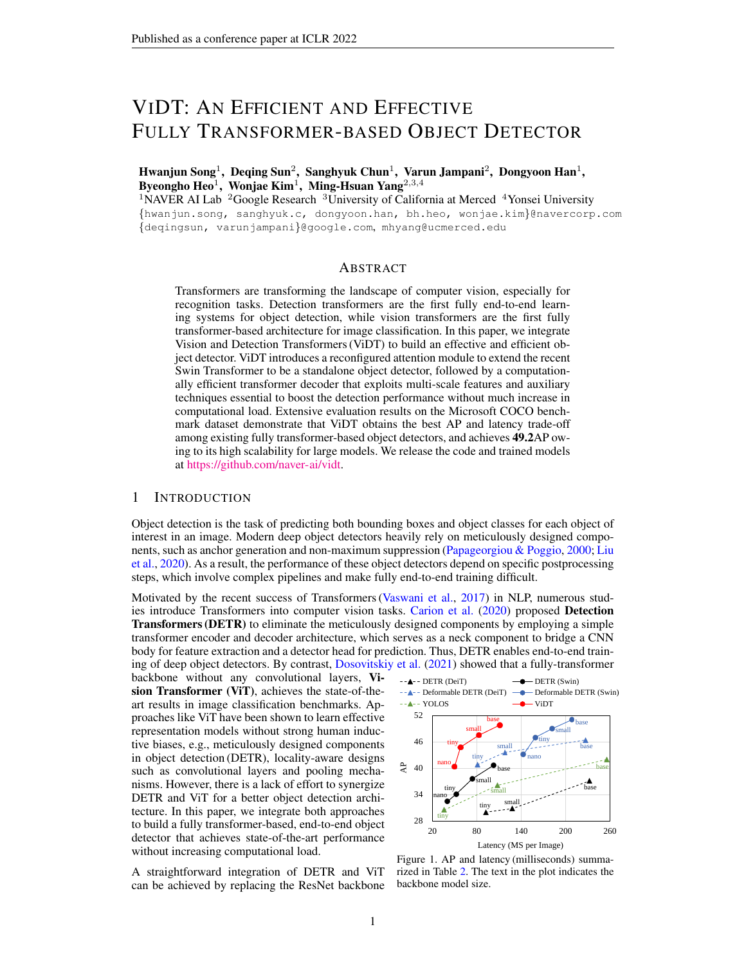<span id="page-2-1"></span>Detection transformers eliminate the meticulously designed components (e.g., anchor generation and non-maximum suppression) by combining convolutional network backbones and Transformer encoder-decoders. While the canonical DETR [\(Carion et al.,](#page-9-0) [2020\)](#page-9-0) achieves high detection performance, it suffers from very slow convergence compared to previous detectors. For example, DETR requires 500 epochs while the conventional Faster R-CNN [\(Ren et al.,](#page-10-4) [2015\)](#page-10-4) training needs only 37 epochs [\(Wu et al.,](#page-10-5) [2019\)](#page-10-5). To mitigate the issue, [Zhu et al.](#page-10-6) [\(2021\)](#page-10-6) propose Deformable DETR which introduces deformable attention for utilizing multi-scale features as well as expediting the slow training convergence of DETR. In this paper, we use the Deformable DETR as our base detection transformer framework and integrate it with the recent vision transformers.

DETR (ViT) is a straightforward integration of DETR and ViT, which uses ViT as a feature extractor, followed by the transformer encoder-decoder in DETR. As illustrated in Figure  $2(a)$  $2(a)$ , it is a *body–neck–head* structure; the representation of input [PATCH] tokens are extracted by the ViT backbone and then directly fed to the transformer-based encoding and decoding pipeline. To predict multiple objects, a fixed number of learnable [DET] tokens are provided as additional input to the decoder. Subsequently, output embeddings by the decoder produce final predictions through the detection heads for classification and box regression. Since DETR (ViT) does not modify the backbone at all, it can be flexibly changed to any latest ViT model, e.g., Swin Transformer. Additionally, its neck decoder facilitates the aggregation of multi-scale features and the use of additional techniques, which help detect objects of different sizes and speed up training  $(Zhu et al., 2021)$  $(Zhu et al., 2021)$  $(Zhu et al., 2021)$ . However, the attention operation at the neck encoder adds significant computational overhead to the detector. In contrast, ViDT resolves this issue by directly extracting fine-grained [DET] features from Swin Transformer with RAM without maintaining the transformer encoder in the neck architecture.

YOLOS [\(Fang et al.,](#page-9-2) [2021\)](#page-9-2) is a canonical ViT architecture for object detection with minimal modifications. As illustrated in Figure [2\(](#page-1-0)b), YOLOS achieves a *neck-free* structure by appending randomly initialized learnable [DET] tokens to the sequence of input [PATCH] tokens. Since all the embeddings for [PATCH] and [DET] tokens interact via global attention, the final [DET] tokens are generated by the fine-tuned ViT backbone and then directly generate predictions through the detection heads without requiring any neck layer. While the naive DETR (ViT) suffers from the computational overhead from the neck layer, YOLOS enjoys efficient computations by treating the [DET] tokens as additional input for ViT. YOLOS shows that 2D object detection can be accomplished in a pure sequence-to-sequence manner, but this solution entails *two* inherent limitations:

- 1) YOLOS inherits the drawback of the canonical ViT; the high computational complexity attributed to the global attention operation. As illustrated in Figure [1,](#page-0-0) YOLOS shows very poor latency compared with other fully transformer-based detectors, especially when its model size becomes larger, i.e., small *!* base. Thus, YOLOS is *not scalable* for the large model.
- 2) YOLOS cannot benefit from using additional techniques essential for better performance, e.g., multi-scale features, due to the absence of the neck layer. Although YOLOS used the same DeiT backbone with Deformable DETR (DeiT), its AP was lower than the straightforward integration.

In contrast, the encoder-free neck architecture of ViDT enjoys the additional optimization techniques from [Zhu et al.](#page-10-6) [\(2021\)](#page-10-6), resulting in the faster convergence and the better performance. Further, our RAM enables to combine Swin Transformer and the sequence-to-sequence paradigm for detection.

# 3 VIDT: VISION AND DETECTION TRANSFORMERS

ViDT first reconfigures the attention model of Swin Transformer to support standalone object detection while fully reusing the parameters of Swin Transformer. Next, it incorporates an encoder-free neck layer to exploit multi-scale features and two essential techniques: auxiliary decoding loss and iterative box refinement. We further introduce knowledge distillation with token matching to benefit from large ViDT models.

# 3.1 RECONFIGURED ATTENTION MODULE

Applying patch reduction and local attention scheme of Swin Transformer to the sequence-tosequence paradigm is challenging because (1) the number of [DET] tokens must be maintained at a fixed-scale and (2) the lack of locality between [DET] tokens. To address this challenge, we introduce a reconfigured attention module  $(RAM)^2$  $(RAM)^2$  that decomposes a single global attention associated with [PATCH] and [DET] tokens into the *three* different attention, namely [PATCH] [PATCH], [DET] [DET],

<span id="page-2-0"></span> ${}^{2}$ This reconfiguration scheme can be easily applied to other ViT variants with simple modification.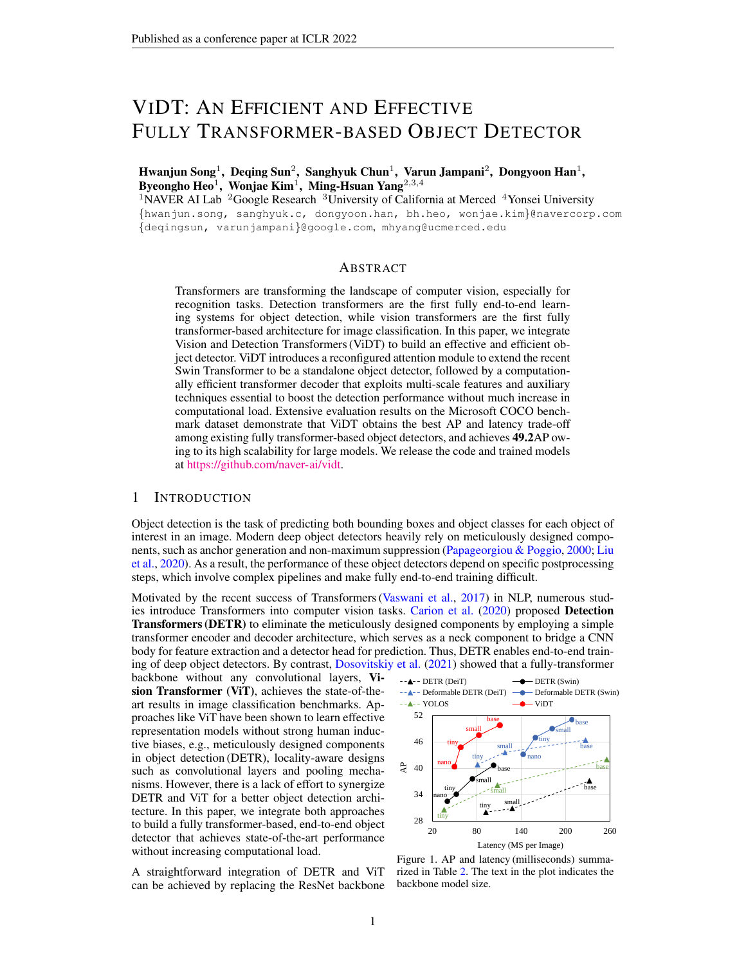<span id="page-3-1"></span><span id="page-3-0"></span>

Figure 3. Reconfigured Attention Module (Q: query, K: key, V: value). The skip connection and feedforward networks following the attention operation is omitted just for ease of exposition.

and [DET] [PATCH] attention. Based on the decomposition, the efficient schemes of Swin Transformer are applied only to [PATCH] [PATCH] attention, which is the heaviest part in computational complexity, without breaking the two constraints on [DET] tokens. As illustrated in Figure [3,](#page-3-0) these modifications fully reuse all the parameters of Swin Transformer by sharing projection layers for [DET] and [PATCH] tokens, and perform the three different attention operations:

- [PATCH] [PATCH] Attention: The initial [PATCH] tokens are progressively calibrated across the attention layers such that they aggregate the key contents in the global feature map (i.e., spatial form of [PATCH] tokens) according to the attention weights, which are computed by  $\hbar$ query, keyi pairs. For [PATCH] [PATCH] attention, Swin Transformer performs local attention on each window partition, but its shifted window partitioning in successive blocks bridges the windows of the preceding layer, providing connections among partitions to capture global information. Without modifying this concept, we use the same policy to generate hierarchical [PATCH] tokens. Thus, the number of [PATCH] tokens is reduced by a factor of 4 at each stage; the resolution of feature maps decreases from  $H=4 \times W=4$  to  $H=32 \times W=32$  over a total of four stages, where H and W denote the width and height of the input image, respectively.
- [DET] [DET] Attention: Like YOLOS, we append one hundred learnable [DET] tokens as the additional input to the [PATCH] tokens. As the number of [DET] tokens specifies the number of objects to detect, their number must be maintained with a fixed-scale over the transformer layers. In addition, [DET] tokens do not have any locality unlike the [PATCH] tokens. Hence, for [DET] [DET] attention, we perform global self-attention while maintaining the number of them; this attention helps each [DET] token to localize a different object by capturing the relationship between them.
- [DET] [PATCH] Attention: This is cross-attention between [DET] and [PATCH] tokens, which produces an object embedding per [DET] token. For each [DET] token, the key contents in [PATCH] tokens are aggregated to represent the target object. Since the [DET] tokens specify different objects, it produces different object embeddings for diverse objects in the image. Without the crossattention, it is infeasible to realize the standalone object detector. As shown in Figure [3,](#page-3-0) ViDT binds [DET] [DET] and [DET] [PATCH] attention to process them at once to increase efficiency.

We replace all the attention modules in Swin Transformer with the proposed RAM, which receives [PATCH] and [DET] tokens (as shown in "Body" of Figure [2\(](#page-1-0)c)) and then outputs their calibrated new tokens by performing the three different attention operations in parallel.

Positional Encoding. ViDT adopts different positional encodings for different types of attention. For [PATCH] [PATCH] attention, we use the relative position bias [\(Hu et al.,](#page-9-5) [2019\)](#page-9-5) originally used in Swin Transformer. In contrast, the learnable positional encoding is added for [DET] tokens for [DET] [DET] attention because there is no particular order between [DET] tokens. However, for [DET] [PATCH] attention, it is crucial to inject *spatial bias* to the [PATCH] tokens due to the permutation-equivariant in transformers, ignoring spatial information of the feature map. Thus, ViDT adds the sinusoidalbased spatial positional encoding to the feature map, which is reconstructed from the [PATCH] tokens for [DET] [PATCH] attention, as can be seen from the left side of Figure [3.](#page-3-0) We present a thorough analysis of various spatial positional encodings in Section [4.2.1.](#page-7-0)

Use of  $[DET] \times [PATH]$  Attention. Applying cross-attention between  $[DET]$  and  $[PATH]$  tokens adds additional computational overhead to Swin Transformer, especially when it is activated at the bottom layer due to the large number of [PATCH] tokens. To minimize such computational overhead, ViDT only activates the cross-attention at the last stage (the top level of the pyramid) of Swin Transformer, which consists of two transformer layers that receives [PATCH] tokens of size  $H=32 \times W=32$ .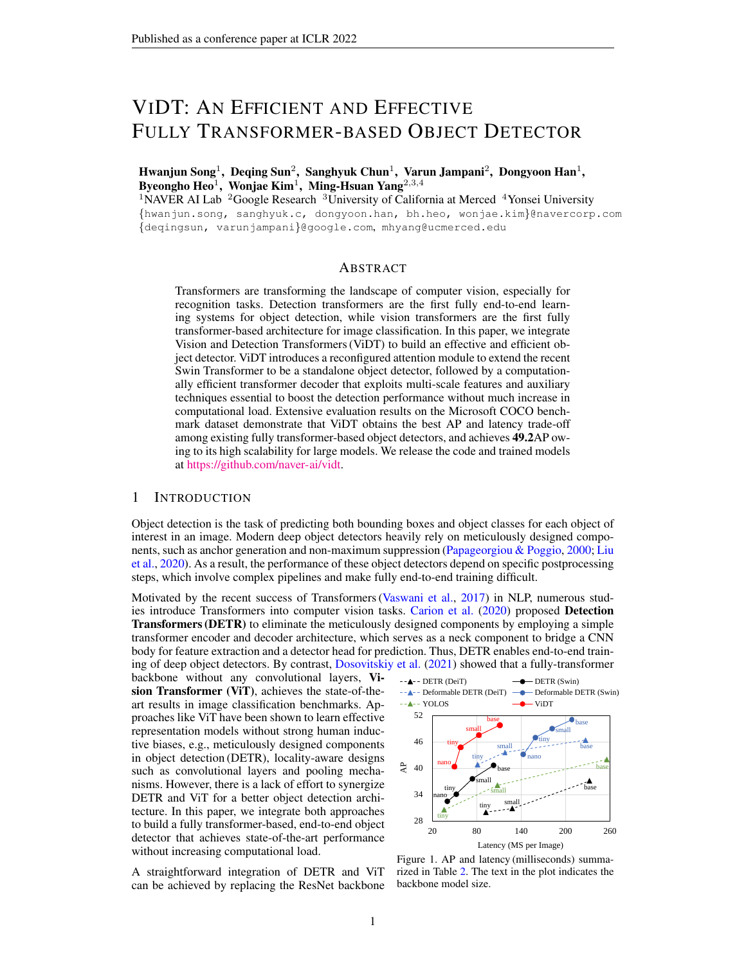<span id="page-4-2"></span>Thus, only self-attention for [DET] and [PATCH] tokens are performed for the remaining stages except the last one. In Section [4.2.2](#page-7-1) we show that this design choice helps achieve the highest FPS, while achieving similar detection performance as when cross-attention is enabled at every stage. We provide more details on RAM including its complexity analysis and algorithmic design in Appendix [A.](#page-11-0)

### 3.2 ENCODER-FREE NECK STRUCTURE

To exploit multi-scale feature maps, ViDT incorporates a decoder of multi-layer deformable transformers [\(Zhu et al.,](#page-10-6) [2021\)](#page-10-6). In the DETR family (Figure [2\(](#page-1-0)a)), a transformer encoder is required at the neck to transform features extracted from the backbone for image classification into the ones suitable for object detection; the encoder is generally computationally expensive since it involves [PATCH] [PATCH] attention. However, ViDT maintains only a transformer decoder as its neck, in that Swin Transformer with RAM directly extracts fine-grained features suitable for object detection as a standalone object detector. Thus, the neck structure of ViDT is computationally efficient.

The decoder receives two inputs from Swin Transformer with RAM: (1) [PATCH] tokens generated from each stage (i.e., four multi-scale feature maps,  $\hat{\tau}x^l g_{l=1}^L$  where  $L = 4$ ) and (2) [DET] tokens generated from the last stage. The overview is illustrated in "Neck" of Figure [2\(](#page-1-0)c). In each deformable transformer layer, [DET] [DET] attention is performed first. For each [DET] token, multi-scale deformable attention is applied to produce a new [DET] token, aggregating a small set of key contents sampled from the multi-scale feature maps  $\bar{r}x^{l}\bar{g}_{l=1}^{L}$ ,

MSDeformAttn([DET]; {x l } L <sup>l</sup>=1) = <sup>X</sup><sup>M</sup> m=1 W<sup>m</sup> hX<sup>L</sup> l=1 XK k=1 Amlk · W<sup>0</sup> <sup>m</sup>x l l(p) + pmlk i ; (1)

where  $m$  indices the attention head and K is the total number of sampled keys for content aggregation. In addition,  $\iota(\mathbf{p})$  is the reference point of the [DET] token re-scaled for the *l*-th level feature map, while  $p_{mlk}$  is the sampling offset for deformable attention; and  $A_{mlk}$  is the attention weights of the K sampled contents.  $\hat{W}_m$  and  $W_m^{\theta}$  are the projection matrices for multi-head attention.

Auxiliary Techniques for Additional Improvements. The decoder of ViDT follows the standard structure of multi-layer transformers, generating refined [DET] tokens at each layer. Hence, ViDT leverages the two auxiliary techniques used in (Deformable) DETR for additional improvements:

- Auxiliary Decoding Loss: Detection heads consisting of two feedforward networks (FNNs) for box regression and classification are attached to every decoding layer. All the training losses from detection heads at different scales are added to train the model. This helps the model output the correct number of objects without non-maximum suppression [\(Carion et al.,](#page-9-0) [2020\)](#page-9-0).
- Iterative Box Refinement: Each decoding layer refines the bounding boxes based on predictions from the detection head in the previous layer. Therefore, the box regression process progressively improves through the decoding layers [\(Zhu et al.,](#page-10-6) [2021\)](#page-10-6).

These two techniques are essential for transformer-based object detectors because they significantly enhance detection performance without compromising detection efficiency. We provide an ablation study of their effectiveness for object detection in Section [4.3.1.](#page-7-2)

### <span id="page-4-1"></span>3.3 KNOWLEDGE DISTILLATION WITH TOKEN MATCHING FOR OBJECT DETECTION

While a large model has a high capacity to achieve high performance, it can be computationally expensive for practical use. As such, we additionally present a simple knowledge distillation approach that can transfer knowledge from the large ViDT model by token matching. Based on the fact that all ViDT models has exactly the same number of [PATCH] and [DET] tokens regardless of their scale, a small ViDT model (a student model) can easily benefit from a pre-trained large ViDT (a teacher model) by matching its tokens with those of the large one, thereby bringing out higher detection performance at a lower computational cost.

Matching all the tokens at every layer is very inefficient in training. Thus, we only match the tokens contributing the most to prediction. The two sets of tokens are directly related:  $(1)P$ : the set of [PATCH] tokens used as multi-scale feature maps, which are generated from each stage in the body, and  $(2)$  D: the set of [DET] tokens, which are generated from each decoding layer in the neck. Accordingly, the distillation loss based on token matching is formulated by

<span id="page-4-0"></span>
$$
\tilde{d}_{ds}(\mathcal{P}_s; \mathcal{D}_s; \mathcal{P}_t; \mathcal{D}_t) = d_{ds} \Big( \frac{1}{|\mathcal{P}_s|} \sum_{i=1}^{|\mathcal{P}_s|} \Big\| \mathcal{P}_s[\hat{I}] - \mathcal{P}_t[\hat{I}] \Big\|_2 + \frac{1}{|\mathcal{D}_s|} \sum_{i=1}^{|\mathcal{D}_s|} \Big\| \mathcal{D}_s[\hat{I}] - \mathcal{D}_t[\hat{I}] \Big\|_2 \Big); \tag{2}
$$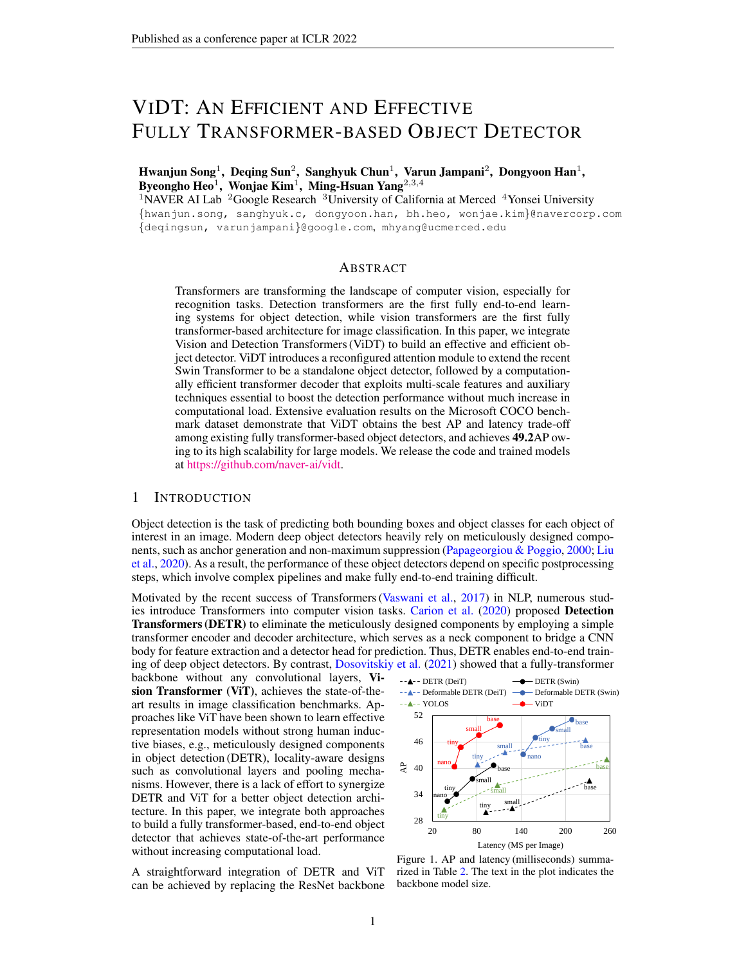<span id="page-5-3"></span><span id="page-5-1"></span>

| Backbone            | Type(Size)                                                                               | Train Data                                                | Epochs                  | Resolution               | Params                  | ImageNet Acc.                |
|---------------------|------------------------------------------------------------------------------------------|-----------------------------------------------------------|-------------------------|--------------------------|-------------------------|------------------------------|
| DeiT                | DeiT-tiny $(\mathbb{R})$<br>DeiT-small $(\hat{\mathbf{R}})$<br>DeiT-base $(\mathcal{R})$ | ImageNet-1K<br>$ImageNet-1K$<br>ImageNet-1K               | 300<br>300<br>300       | 224<br>224<br>384        | 6M<br>22M<br>87M        | 74.5<br>81.2<br>85.2         |
| Swin<br>Transformer | Swin-nano<br>Swin-tiny<br>Swin-small<br>Swin-base                                        | ImageNet-1K<br>ImageNet-1K<br>ImageNet-1K<br>ImageNet-22K | 300<br>300<br>300<br>90 | 224<br>224<br>224<br>224 | 6M<br>28M<br>50M<br>88M | 74.9<br>81.2<br>83.2<br>86.3 |

Table 1. Summary on the ViT backbone. "\*\*" is the distillation strategy for classification [\(Touvron et al.,](#page-10-7) [2021\)](#page-10-7).

where the subscripts s and t refer to the student and teacher model.  $P[i]$  and  $D[i]$  return the *i*-th [PATCH] and [DET] tokens, n-dimensional vectors, belonging to  $P$  and  $D$ , respectively.  $_{dis}$  is the coefficient to determine the strength of  $\lambda_{dis}$ , which is added to the detection loss if activated.

# 4 EVALUATION

In this section, we show that ViDT achieves the best trade-off between accuracy and speed (Section [4.1\)](#page-5-0). Then, we conduct detailed ablation study of the reconfigured attention module (Section [4.2\)](#page-6-1) and additional techniques to boost detection performance (Section [4.3\)](#page-7-3). Finally, we provide a complete analysis of all components available for ViDT (Section [4.4\)](#page-8-0).

Dataset. We carry out object detection experiments on the Microsoft COCO 2017 benchmark dataset [\(Lin et al.,](#page-9-3) [2014\)](#page-9-3). All the fully transformer-based object detectors are trained on 118K training images and tested on 5K validation images following the literature [\(Carion et al.,](#page-9-0) [2020\)](#page-9-0).

Algorithms. We compare ViDT with two existing fully transformer-based object detection pipelines, namely DETR (ViT) and YOLOS. Since DETR (ViT) follows the general pipeline of (Deformable) DETR by replacing its ResNet backbone with other ViT variants; hence, we use one canonical ViT and one latest ViT variant, DeiT and Swin Transformer, as its backbone without any modification. In contrast, YOLOS is the canonical ViT architecture, thus only DeiT is available. Table [1](#page-5-1) summarizes all the ViT models pre-trained on ImageNet used for evaluation. Note that publicly available pre-trained models are used except for Swin-nano. We newly configure Swin-nano<sup>[3](#page-5-2)</sup> comparable to DeiTtiny, which is trained on ImageNet with the identical setting. Overall, with respect to the number of parameters, Deit-tiny, -small, and -base are comparable to Swin-nano, -tiny, and -base, respectively. Please see Appendix [B.2](#page-12-0) for the detailed pipeline of compared detectors.

Implementation Details. All the algorithms are implemented using PyTorch and executed using eight NVIDIA Tesla V100 GPUs. We train ViDT using AdamW [\(Loshchilov & Hutter,](#page-10-8) [2019\)](#page-10-8) with the same initial learning rate of 10 $4$  for its body, neck and head. In contrast, following the (Deformable) DETR setting, DETR (ViT) is trained with the initial learning rate of 10<sup>5</sup> for its pretrained body (ViT backbone) and  $10^{-4}$  for its neck and head. YOLOS and ViDT (w.o. Neck) are trained with the same initial learning rate of  $5-10^{-5}$ , which is the original setting of YOLOS for the neck-free detector. We do not change any hyperparameters used in transformer encoder and decoder for (Deformable) DETR; thus, the neck decoder of ViDT also consists of six deformable transformer layers using exactly the same hyperparameters. The only new hyperparameter introduced, the distillation coefficient  $_{dis}$  in Eq. [\(2\)](#page-4-0), is set to be 4. For fair comparison, knowledge distillation is not applied for ViDT in the main experiment in Section [4.1.](#page-5-0) The efficacy of knowledge distillation with token matching is verified independently in Section [4.3.2.](#page-8-1) Auxiliary decoding loss and iterative box refinement are applied to the compared methods if applicable.

Regarding the resolution of input images, we use scale augmentation that resizes them such that the shortest side is at least 480 and at most 800 pixels while the longest at most 1333 [\(Wu et al.,](#page-10-5) [2019\)](#page-10-5). More details of the experiment configuration can be found in Appendix [B.3](#page-12-1)[–B.5.](#page-14-0) All the source code and trained models will be made available to the public at [https://github.com/naver-ai/vidt.](https://github.com/naver-ai/vidt)

#### <span id="page-5-0"></span>4.1 MAIN EXPERIMENTS WITH MICROSOFT COCO BENCHMARK

Table [2](#page-6-0) compares ViDT with DETR (ViT) and YOLOS w.r.t their AP, FPS, # parameters, where the two variants of DETR (ViT) are simply named DETR and Deformable DETR. We report the result of ViDT without using knowledge distillation for fair comparison. A summary plot is provided in Figure [1.](#page-0-0) The experimental comparisons with CNN backbones are provided in Appendix [C.1.](#page-14-1)

<span id="page-5-2"></span><sup>&</sup>lt;sup>3</sup> Swin-nano is designed such that its channel dimension is half that of Swin-tiny. Please see Appendix [B.1.](#page-12-2)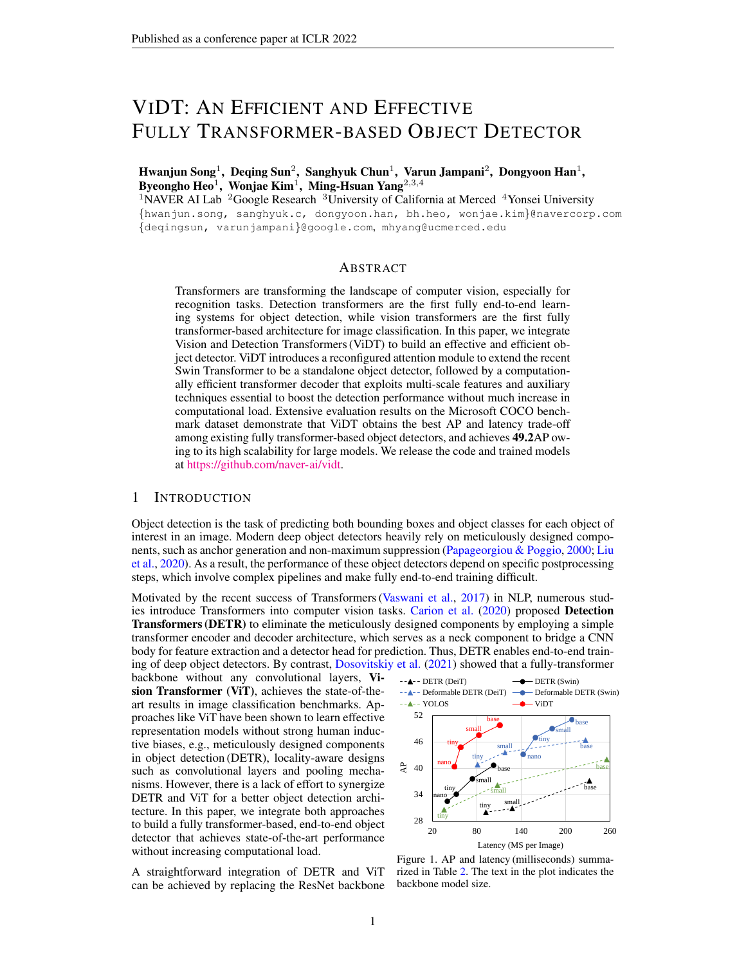<span id="page-6-0"></span>

| Method           | Backbone   | Epochs | AP   | $\overline{AP}_{50}$ | $\overline{AP}_{75}$ | AP <sub>S</sub> | $AP_M$ | AP <sub>L</sub> | Param. | <b>FPS</b>    |
|------------------|------------|--------|------|----------------------|----------------------|-----------------|--------|-----------------|--------|---------------|
|                  | DeiT-tiny  | 50     | 30.0 | 49.2                 | 30.5                 | 9.9             | 30.8   | 50.6            | 24M    | 10.9(13.1)    |
|                  | DeiT-small | 50     | 32.4 | 52.5                 | 33.2                 | 11.3            | 33.5   | 53.7            | 39M    | $7.8$ $(8.8)$ |
|                  | DeiT-base  | 50     | 37.1 | 59.2                 | 38.4                 | 14.7            | 39.4   | 52.9            | 0.1B   | 4.3 $(4.9)$   |
| <b>DETR</b>      | Swin-nano  | 50     | 27.8 | 47.5                 | 27.4                 | 9.0             | 29.2   | 44.9            | 24M    | 24.7(46.1)    |
|                  | Swin-tiny  | 50     | 34.1 | 55.1                 | 35.3                 | 12.7            | 35.9   | 54.2            | 45M    | 19.3(28.1)    |
|                  | Swin-small | 50     | 37.6 | 59.0                 | 39.0                 | 15.9            | 40.1   | 58.9            | 66M    | 13.5(17.7)    |
|                  | Swin-base  | 50     | 40.7 | 62.9                 | 42.7                 | 18.3            | 44.1   | 62.4            | 0.1B   | 9.7(12.6)     |
|                  | DeiT-tiny  | 50     | 40.8 | 60.1                 | 43.6                 | 21.4            | 43.4   | 58.2            | 18M    | 12.4(16.3)    |
|                  | DeiT-small | 50     | 43.6 | 63.7                 | 46.5                 | 23.3            | 47.1   | 62.1            | 35M    | 8.5(10.2)     |
| Deformable       | DeiT-base  | 50     | 46.4 | 67.3                 | 49.4                 | 26.7            | 50.1   | 65.4            | 0.1B   | 4.4 (5.3)     |
| <b>DETR</b>      | Swin-nano  | 50     | 43.1 | 61.4                 | 46.3                 | 25.9            | 45.2   | 59.4            | 18M    | 7.0<br>(7.8)  |
|                  | Swin-tiny  | 50     | 47.0 | 66.8                 | 50.8                 | 28.1            | 49.8   | 63.9            | 39M    | 6.3<br>(7.0)  |
|                  | Swin-small | 50     | 49.0 | 68.9                 | 52.9                 | 30.3            | 52.8   | 66.6            | 60M    | 5.5<br>(6.1)  |
|                  | Swin-base  | 50     | 51.4 | 71.7                 | 56.2                 | 34.5            | 55.1   | 67.5            | 0.1B   | 4.8<br>(5.4)  |
|                  | DeiT-tiny  | 150    | 30.4 | 48.6                 | 31.1                 | 12.4            | 31.8   | 48.2            | 6M     | 28.1 (31.3)   |
| YOLOS            | DeiT-small | 150    | 36.1 | 55.7                 | 37.6                 | 15.6            | 38.4   | 55.3            | 30M    | 9.3(11.8)     |
|                  | DeiT-base  | 150    | 42.0 | 62.2                 | 44.5                 | 19.5            | 45.3   | 62.1            | 0.1B   | 3.9(5.4)      |
|                  | Swin-nano  | 150    | 28.7 | 48.6                 | 28.5                 | 12.3            | 30.7   | 44.1            | 7M     | 36.5(64.4)    |
| <b>ViDT</b>      | Swin-tiny  | 150    | 36.3 | 56.3                 | 37.8                 | 16.4            | 39.0   | 54.3            | 29M    | 28.6(32.1)    |
| $(w.o.$ Neck $)$ | Swin-small | 150    | 41.6 | 62.7                 | 43.9                 | 20.1            | 45.4   | 59.8            | 52M    | 16.8(18.8)    |
|                  | Swin-base  | 150    | 43.2 | 64.2                 | 45.9                 | 21.9            | 46.9   | 63.2            | 91M    | 11.5(12.5)    |
|                  | Swin-nano  | 50     | 40.4 | 59.6                 | 43.3                 | 23.2            | 42.5   | 55.8            | 16M    | 20.0(45.8)    |
| ViDT             | Swin-tiny  | 50     | 44.8 | 64.5                 | 48.7                 | 25.9            | 47.6   | 62.1            | 38M    | 17.2(26.5)    |
|                  | Swin-small | 50     | 47.5 | 67.7                 | 51.4                 | 29.2            | 50.7   | 64.8            | 61M    | 12.1(16.5)    |
|                  | Swin-base  | 50     | 49.2 | 69.4                 | 53.1                 | 30.6            | 52.6   | 66.9            | 0.1B   | 9.0(11.6)     |

Table 2. Comparison of ViDT with other compared detectors on COCO2017 val set. Two neck-free detectors, YOLOS and ViDT (w.o. Neck) are trained for 150 epochs due to the slow convergence. FPS is measured with batch size 1 of 800  $\times$  1333 resolution on a single Tesla V100 GPU, where the value inside the parentheses is measured with batch size 4 of the same resolution to maximize GPU utilization.

Highlights. ViDT achieves the best trade-off between AP and FPS. With its high scalability, it performs well even for Swin-base of 0:1 billion parameters, which is 2x faster than Deformable DETR with similar AP. Besides, ViDT shows 40.4AP only with 16M parameters; it is 6.3–12.6AP higher than those of DETR (swin-nano) and DETR (swin-tiny), which exhibit similar FPS of 19:3–24:7.

ViDT vs. Deformable DETR. Thanks to the use of multi-scale features, Deformable DETR exhibits high detection performance in general. Nevertheless, its encoder and decoder structure in the neck becomes a critical bottleneck in computation. In particular, the encoder with multi-layer deformable transformers adds considerable overhead to transform multi-scale features by attention. Thus, it shows very low FPS although it achieves higher AP with a relatively small number of parameters. In contrast, ViDT removes the need for a transformer encoder in the neck by using Swin Transformer with RAM as its body, directly extracting multi-scale features suitable for object detection.

ViDT (w.o. Neck) vs. YOLOS. For the comparison with YOLOS, we train ViDT without using its neck component. These two neck-free detectors show relatively low AP compared with other detectors in general. In terms of speed, YOLOS exhibits much lower FPS than ViDT (w.o. Neck) because of its quadratic computational complexity for attention. However, ViDT (w.o. Neck) extends Swin Transformers with RAM, thus requiring linear complexity for attention. Hence, it shows AP comparable to YOLOS for various backbone size, but its FPS is much higher.

One might argue that better integration could be also achieved by (1) Deformable DETR without its neck encoder because its neck decoder also has [DET] [PATCH] cross-attention, or (2) YOLOS with VIDT's neck decoder because of the use of multiple auxiliary techniques. Such integration is actually not effective; the former significantly drops AP, while the latter has a much greater drop in FPS than an increase in AP. The detailed analysis can be found in Appendix [C.2.](#page-14-2)

<span id="page-6-1"></span>4.2 ABLATION STUDY ON RECONFIGURED ATTENTION MODULE (RAM)

We extend Swin Transformer with RAM to extract fine-grained features for object detection without maintaining an additional transformer encoder in the neck. We provide an ablation study on the two main considerations for RAM, which leads to high accuracy and speed. To reduce the influence of secondary factors, we mainly use our neck-free version, ViDT (w.o. Neck), for the ablation study.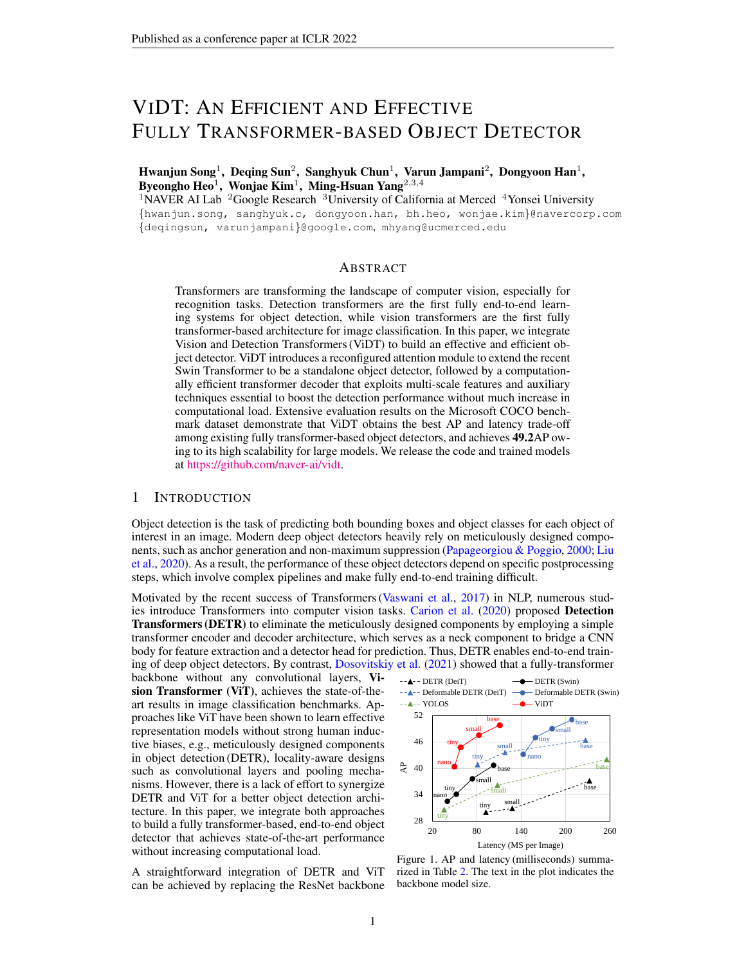### <span id="page-7-7"></span><span id="page-7-0"></span>4.2.1 SPATIAL POSITIONAL ENCODING

Spatial positional encoding is essential for [DET] [PATCH] attention in RAM. Typically, the spatial encoding can be added to the [PATCH] tokens before or after the projection layer in Figure [3.](#page-3-0) We call the former "pre-addition" and the latter "postaddition". For each one, we can design the encoding in a sinusoidal or learnable manner [\(Carion et al.,](#page-9-0)

<span id="page-7-4"></span>

|                                             |  | Method   None   Pre-addition   Post-addition |  |  |
|---------------------------------------------|--|----------------------------------------------|--|--|
| Type   None   Sin.   Learn.   Sin.   Learn. |  |                                              |  |  |
| AP   23.7   28.7   27.4   28.0   24.1       |  |                                              |  |  |

Table 3. Results for different spatial encodings for [DET]  $\times$  [PATCH] cross-attention.

 $2020$ ). Table [3](#page-7-4) contrasts the results with different spatial positional encodings with ViDT (w.o. Neck). Overall, pre-addition results in performance improvement higher than post-addition, and specifically, the sinusoidal encoding is better than the learnable one; thus, the 2D inductive bias of the sinusoidal spatial encoding is more helpful in object detection. In particular, pre-addition with the sinusoidal encoding increases AP by 5:0 compared to not using any encoding.

### <span id="page-7-1"></span>4.2.2 SELECTIVE [DET] [PATCH] CROSS-ATTENTION

The addition of cross-attention to Swin Transformer inevitably entails computational overhead, particularly when the number of [PATCH] is large. To alleviate such overhead, we selectively enable cross-attention in RAM at the last stage of Swin Transformer; this is shown to greatly improve FPS, but barely drop AP. Table [4](#page-7-5) summarizes AP and FPS when used different selective strategies for the cross-attention, where Swin Transformer consists of four stages in total. It is interesting that all the strategies exhibit similar AP as long as cross-attention is activated at the last stage. Since features are extracted in a bottom-up manner as they go through the stages, it seems difficult to directly obtain useful information about the target object at the low level of stages. Thus, only using the last stage is the best design choice in terms of high AP and FPS due to the smallest number of [PATCH] tokens.

Meanwhile, the detection fails completely or the performance significantly drops if all the stages are not involved due to the lack of interaction between [DET] and [PATCH] tokens that spatial positional encoding is associated with. A more detailed analysis of the [DET] [PATCH] cross-attention and [DET] [DET] self-attention is provided in appendices  $C.3$  and  $C.4$ .

<span id="page-7-5"></span>

| Stage Ids $\{1, 2, 3, 4\}$                                                                                                         |  | $\{2, 3, 4\}$ | $\{3,4\}$ |  |  |  |
|------------------------------------------------------------------------------------------------------------------------------------|--|---------------|-----------|--|--|--|
| Metric   AP FPS   AP FPS   AP FPS   AP FPS   AP FPS                                                                                |  |               |           |  |  |  |
| w.o. Neck   29.0 21.8   28.8 29.1   28.5 34.3   28.7 36.5   FAIL 37.7<br>w. Neck 40.3 14.6 40.1 18.0 40.3 19.5 40.4 20.0 37.1 20.5 |  |               |           |  |  |  |

Table 4. AP and FPS comparison with different selective cross-attention strategies.

### <span id="page-7-3"></span>4.3 ABLATION STUDY ON ADDITIONAL TECHNIQUES

We analyze the performance improvement of two additional techniques, namely auxiliary decoding loss and iterative box refinement, and the proposed distillation approach in Section [3.3.](#page-4-1) Furthermore, we introduce a simple technique that can expedite the inference speed of ViDT by dropping unnecessary decoding layers at inference time.

### <span id="page-7-2"></span>4.3.1 AUXILIARY DECODING LOSS AND ITERATIVE BOX REFINEMENT

To thoroughly verify the efficacy of auxiliary decoding loss and iterative box refinement, we extend them even for the neck-free detector like YOLOS; the principle of them is applied to the encoding layers in the body, as opposed to the conventional way of using the decoding layers in the neck. Table [5](#page-7-6) shows the performance of the two neck-free detectors, YOLOS and ViDT (w.o. Neck), decreases considerably with the two techniques. The use of them in the encoding layers is likely to negatively affect feature extraction of the transformer encoder. In contrast, an opposite trend is observed with the neck component. Since

<span id="page-7-6"></span>

|       | Aux.     | Box Ref. Neck |   | AP   |         |
|-------|----------|---------------|---|------|---------|
|       |          |               |   | 30.4 |         |
|       | X        |               |   | 29.2 | $-1.2$  |
| YOLOS | $\times$ | X             |   | 20.1 | $-10.3$ |
|       |          |               |   | 28.7 |         |
|       | Χ        |               |   | 27.2 | –1.6    |
| ViDT  | $\times$ | $\times$      |   | 22.9 | $-5.9$  |
|       | $\times$ |               | X | 36.2 | $+7.4$  |
|       | $\times$ | X             | X | 40.4 | $+11.6$ |

| Table 5. Effect of extra techniques with |
|------------------------------------------|
| YOLOS (DeiT-tiny) and ViDT (Swin-nano).  |

the neck decoder is decoupled with the feature extraction in the body, the two techniques make a synergistic effect and thus show significant improvement in AP. These results justify the use of the neck decoder in ViDT to boost object detection performance.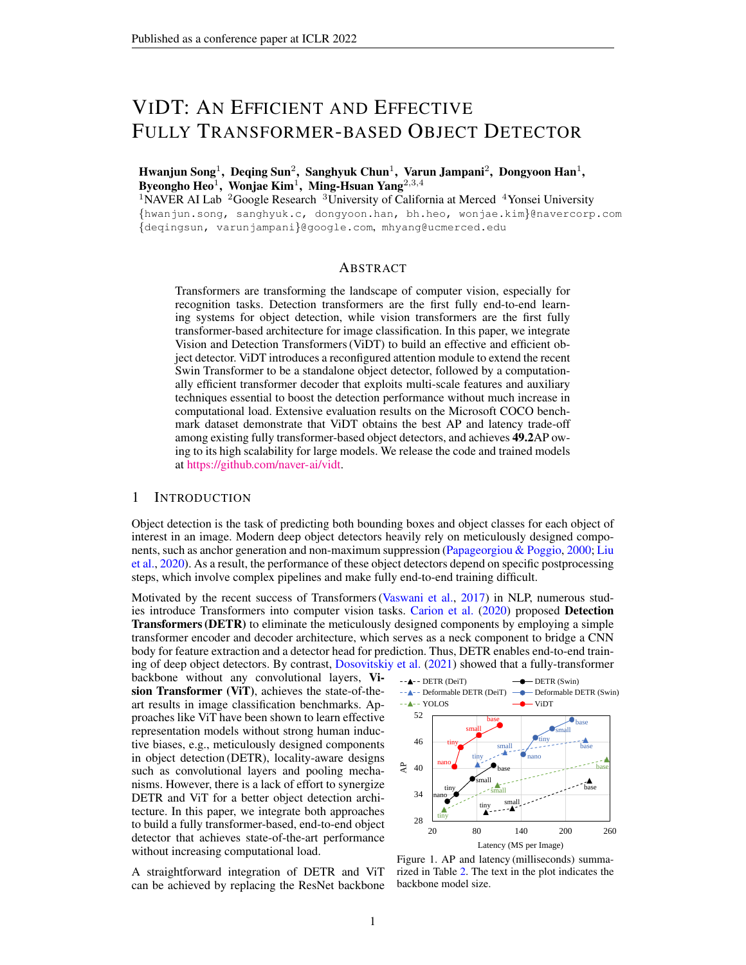### <span id="page-8-5"></span><span id="page-8-1"></span>4.3.2 KNOWLEDGE DISTILLATION WITH TOKEN MATCHING

We show that a small ViDT model can benefit from a large ViDT model via knowledge distillation. The proposed token matching is a new concept of knowledge distillation for object detection, especially for a fully transformer-based object detector. Compared to very complex distillation methods that rely on heuristic rules with multiple hyperparameters [\(Chen et al.,](#page-9-6) [2017;](#page-9-6) [Dai](#page-9-7) [et al.,](#page-9-7) [2021\)](#page-9-7), it simply matches some tokens with

<span id="page-8-2"></span>

| Student      |                 | ViDT (Swin-nano) | ViDT (Swin-tiny) |                |  |  |
|--------------|-----------------|------------------|------------------|----------------|--|--|
| Teacher      | ViDT<br>(small) | ViDT<br>(base)   | ViDT<br>(small)  | ViDT<br>(base) |  |  |
| $_{dis} = 0$ |                 | 40.4             | 44.8             |                |  |  |
| $dis = 2$    | 41.4            | 41.4             | 45.6             | 46.1           |  |  |
| $_{dis} = 4$ | 41.5            | 41.9             | 45.8             | 46.5           |  |  |

Table 6. AP comparison of student models associated with different teacher models.

a single hyperparameter, the distillation coefficient  $\frac{di}{ds}$ . Table [6](#page-8-2) summarizes the AP improvement via knowledge distillation with token matching with varying distillation coefficients. Overall, the larger the size of the teacher model, the greater gain to the student model. Regarding coefficients, in general, larger values achieve better performance. Distillation increases AP by 1:0–1:7 without affecting the inference speed of the student model.

### 4.3.3 DECODING LAYER DROP

ViDT has six layers of transformers as its neck decoder. We emphasize that not all layers of the decoder are required at inference time for high performance. Table [7](#page-8-3) show the performance of ViDT when dropping its decoding layer one by one from the top in the inference step. Although there is a trade-off relationship between accuracy and speed as the layers are detached from the model, there is no significant AP drop even when the two layers are removed. This technique is not designed for performance evaluation in Table [2](#page-6-0)

<span id="page-8-3"></span>

| Model  |      | ViDT (Swin-nano) |            | ViDT (Swin-tiny) |        |            |  |
|--------|------|------------------|------------|------------------|--------|------------|--|
| Metric | AP   | Param.           | <b>FPS</b> | AP               | Param. | <b>FPS</b> |  |
| 0 Drop | 40.4 | 16M              | 20.0       | 44.8             | 38M    | 17.2       |  |
| 1 Drop | 40.2 | 14M              | 20.9       | 44.8             | 37M    | 18.5       |  |
| 2 Drop | 40.0 | 13M              | 22.3       | 44.5             | 35M    | 19.6       |  |
| 3 Drop | 38.6 | 12M              | 24.7       | 43.6             | 34M    | 21.0       |  |
| 4 Drop | 36.8 | 11M              | 26.0       | 41.9             | 33M    | 22.4       |  |
| 5 Drop | 32.5 | 10M              | 28.7       | 38.0             | 32M    | 24.4       |  |

Table 7. Performance trade-off by decoding layer drop regarding AP, Param, and FPS.

with other methods, but we can accelerate the inference speed of a trained ViDT model to over 10% by dropping its two decoding layers without a much decrease in AP.

### <span id="page-8-0"></span>4.4 COMPLETE COMPONENT ANALYSIS

In this section, we combine all the proposed components (even with distillation and decoding layer drop) to achieve high accuracy and speed for object detection. As summarized in Table [8,](#page-8-4) there are four components: (1) RAM to extend Swin Transformer as a standalone object detector, (2) the neck decoder to exploit multi-scale features with two auxiliary techniques, (3) knowledge distillation to benefit from a large model, and (4) decoding layer drop to further accelerate inference speed. The performance of the final version is very outstanding; it achieves 41.7AP with reasonable FPS by only using 13M parameters when used Swin-nano as its backbone. Further, it only loses 2.7 FPS while exhibiting 46.4AP when used Swin-tiny. This indicates that a fully transformer-based object detector has the potential to be used as a generic object detector when further developed in the future.

<span id="page-8-4"></span>

|     | Component      |                   |  | Swin-nano |  |  |                                                    | Swin-tiny                   |  |  |  |                                                                                                                   |        |
|-----|----------------|-------------------|--|-----------|--|--|----------------------------------------------------|-----------------------------|--|--|--|-------------------------------------------------------------------------------------------------------------------|--------|
| #   |                |                   |  |           |  |  |                                                    |                             |  |  |  | RAM Neck Distil Drop   AP $AP_{50}$ AP <sub>75</sub> Param. FPS   AP AP <sub>50</sub> AP <sub>75</sub> Param. FPS |        |
|     |                |                   |  |           |  |  |                                                    |                             |  |  |  | 28.7 48.6 28.5 7M 36.5 36.3 56.3 37.8 29M 28.6                                                                    |        |
|     | $(2)$ $\times$ | $\times$ $\times$ |  |           |  |  |                                                    |                             |  |  |  | 40.4 59.6 43.3 16M 20.0 44.8 64.5 48.7 38M 17.2                                                                   |        |
| (3) |                |                   |  |           |  |  | 41.9 61.1 45.0 16M                                 | $20.0$   46.5 66.3 50.2 38M |  |  |  |                                                                                                                   | 17.2   |
| (4) | $\mathsf{X}$   |                   |  |           |  |  | $\vert$ 41.7 61.0 44.8 13M 22.3 46.4 66.3 50.2 35M |                             |  |  |  |                                                                                                                   | - 19.6 |

Table 8. Detailed component analysis with Swin-nano and Swin-tiny.

# 5 CONCLUSION

We have explored the integration of vision and detection transformers to build an effective and efficient object detector. The proposed ViDT significantly improves the scalability and flexibility of transformer models to achieve high accuracy and inference speed. The computational complexity of its attention modules is linear w.r.t. image size, and ViDT synergizes several essential techniques to boost the detection performance. On the Microsoft COCO benchmark, ViDT achieves 49:2AP with a large Swin-base backbone, and 41.7AP with the smallest Swin-nano backbone and only 13M parameters, suggesting the benefits of using transformers for complex computer vision tasks.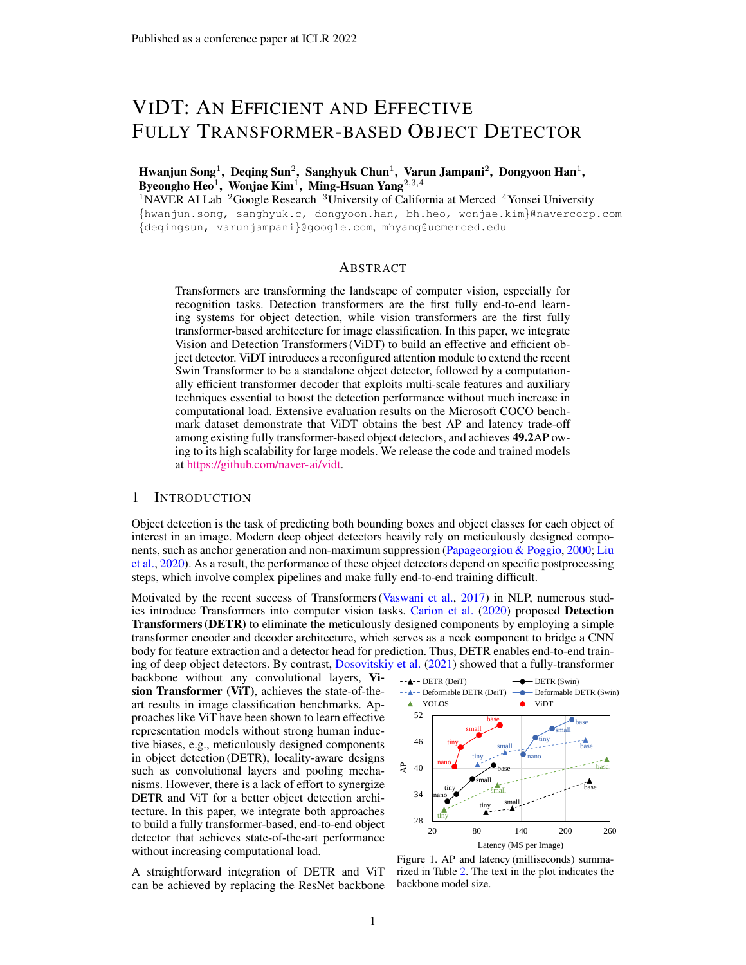# <span id="page-9-9"></span>ETHICS STATEMENT

This paper deals with the topic of general object detection in computer vision. We propose a novel integration of vision and detection transformers for a fully transformer-based object detector. Therefore, we do not expect any potential negative social impact of our work.

### REPRODUCIBILITY STATEMENT

For reproducibility, we provide a detailed description of our experiment and hyperparameter settings in Appendix  $\overline{B}$ . It includes the Swin-nano architecture (Appendix  $\overline{B}$ .1), the pipelines of all compared object detectors (Appendix [B.2\)](#page-12-0), hyperparameters of neck transformers (Appendix [B.3\)](#page-12-1), detailed implementation (Appendix [B.4\)](#page-13-0), and training configuration (Appendix [B.5\)](#page-14-0). We will release the code and trained models upon acceptance.

### ACKNOWLEDGMENTS

We thank NAVER AI Lab members for valuable discussion and advice. NAVER Smart Machine Learning (NSML) [\(Kim et al.,](#page-9-8) [2018\)](#page-9-8) has been used for experiment. M.-H. Yang is supported in part by the NSF CAREER grant 1149783.

### **REFERENCES**

- <span id="page-9-0"></span>Nicolas Carion, Francisco Massa, Gabriel Synnaeve, Nicolas Usunier, Alexander Kirillov, and Sergey Zagoruyko. End-to-end object detection with transformers. In *ECCV*, pp. 213–229, 2020. [1,](#page-0-1) [3,](#page-2-1) [5,](#page-4-2) [6,](#page-5-3) [8,](#page-7-7) [14,](#page-13-1) [15](#page-14-3)
- <span id="page-9-10"></span>Chun-Fu Chen, Quanfu Fan, and Rameswar Panda. CrossViT: Cross-attention multi-scale vision transformer for image classification. In *ICCV*, 2021. [13](#page-12-4)
- <span id="page-9-6"></span>Guobin Chen, Wongun Choi, Xiang Yu, Tony Han, and Manmohan Chandraker. Learning efficient object detection models with knowledge distillation. In *NeurIPS*, 2017. [9](#page-8-5)
- <span id="page-9-7"></span>Xing Dai, Zeren Jiang, Zhao Wu, Yiping Bao, Zhicheng Wang, Si Liu, and Erjin Zhou. General instance distillation for object detection. In *CVPR*, pp. 7842–7851, 2021. [9](#page-8-5)
- <span id="page-9-1"></span>Alexey Dosovitskiy, Lucas Beyer, Alexander Kolesnikov, Dirk Weissenborn, Xiaohua Zhai, Thomas Unterthiner, Mostafa Dehghani, Matthias Minderer, Georg Heigold, Sylvain Gelly, et al. An image is worth 16x16 words: Transformers for image recognition at scale. In *ICLR*, 2021. [1,](#page-0-1) [2](#page-1-2)
- <span id="page-9-2"></span>Yuxin Fang, Bencheng Liao, Xinggang Wang, Jiemin Fang, Jiyang Qi, Rui Wu, Jianwei Niu, and Wenyu Liu. You only look at one sequence: Rethinking transformer in vision through object detection. *arXiv preprint arXiv:2106.00666*, 2021. [2,](#page-1-2) [3,](#page-2-1) [14,](#page-13-1) [15](#page-14-3)
- <span id="page-9-4"></span>Byeongho Heo, Sangdoo Yun, Dongyoon Han, Sanghyuk Chun, Junsuk Choe, and Seong Joon Oh. Rethinking spatial dimensions of vision transformers. In *ICCV*, 2021. [2,](#page-1-2) [13](#page-12-4)
- <span id="page-9-5"></span>Han Hu, Zheng Zhang, Zhenda Xie, and Stephen Lin. Local relation networks for image recognition. In *CVPR*, pp. 3464–3473, 2019. [4](#page-3-1)
- <span id="page-9-8"></span>Hanjoo Kim, Minkyu Kim, Dongjoo Seo, Jinwoong Kim, Heungseok Park, Soeun Park, Hyunwoo Jo, KyungHyun Kim, Youngil Yang, Youngkwan Kim, et al. NSML: Meet the mlaas platform with a real-world case study. *arXiv preprint arXiv:1810.09957*, 2018. [10](#page-9-9)
- <span id="page-9-3"></span>Tsung-Yi Lin, Michael Maire, Serge Belongie, James Hays, Pietro Perona, Deva Ramanan, Piotr Dollár, and C Lawrence Zitnick. Microsoft COCO: Common objects in context. In *ECCV*, pp. 740–755, 2014. [2,](#page-1-2) [6](#page-5-3)
- <span id="page-9-11"></span>Tsung-Yi Lin, Priya Goyal, Ross Girshick, Kaiming He, and Piotr Dollár. Focal loss for dense object detection. In *CVPR*, pp. 2980–2988, 2017. [14](#page-13-1)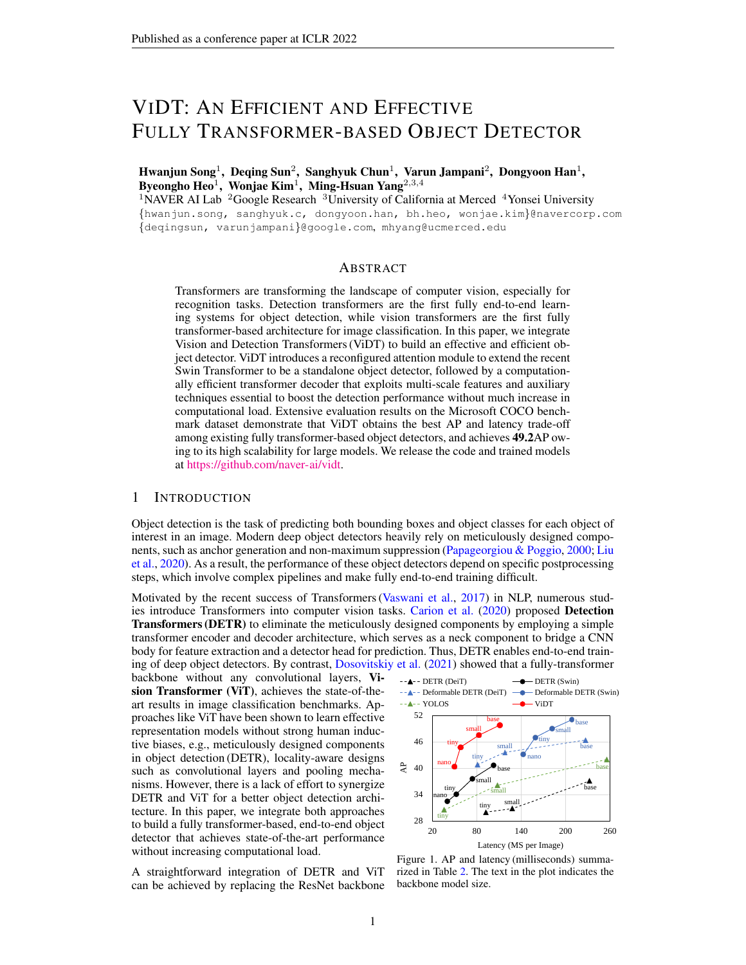- <span id="page-10-1"></span>Li Liu, Wanli Ouyang, Xiaogang Wang, Paul Fieguth, Jie Chen, Xinwang Liu, and Matti Pietikainen. ¨ Deep learning for generic object detection: A survey. *International Journal of Computer Vision*, 128(2):261–318, 2020. [1](#page-0-1)
- <span id="page-10-3"></span>Ze Liu, Yutong Lin, Yue Cao, Han Hu, Yixuan Wei, Zheng Zhang, Stephen Lin, and Baining Guo. Swin Transformer: Hierarchical vision transformer using shifted windows. In *ICCV*, 2021. [2,](#page-1-2) [12](#page-11-1)

<span id="page-10-8"></span>Ilya Loshchilov and Frank Hutter. Decoupled weight decay regularization. In *ICLR*, 2019. [6,](#page-5-3) [15](#page-14-3)

- <span id="page-10-0"></span>Constantine Papageorgiou and Tomaso Poggio. A trainable system for object detection. *International Journal of Computer Vision*, 38(1):15–33, 2000. [1](#page-0-1)
- <span id="page-10-4"></span>Shaoqing Ren, Kaiming He, Ross Girshick, and Jian Sun. Faster R-CNN: Towards real-time object detection with region proposal networks. *NeurIPS*, 28:91–99, 2015. [3](#page-2-1)
- <span id="page-10-10"></span>Hamid Rezatofighi, Nathan Tsoi, JunYoung Gwak, Amir Sadeghian, Ian Reid, and Silvio Savarese. Generalized intersection over union: A metric and a loss for bounding box regression. In *CVPR*, pp. 658–666, 2019. [14](#page-13-1)
- <span id="page-10-7"></span>Hugo Touvron, Matthieu Cord, Matthijs Douze, Francisco Massa, Alexandre Sablayrolles, and Hervé Jégou. Training data-efficient image transformers  $\&$  distillation through attention. In *ICML*, pp. 10347–10357, 2021. [6](#page-5-3)
- <span id="page-10-2"></span>Ashish Vaswani, Noam Shazeer, Niki Parmar, Jakob Uszkoreit, Llion Jones, Aidan N Gomez, Łukasz Kaiser, and Illia Polosukhin. Attention is all you need. In *NeurIPS*, pp. 5998–6008, 2017. [1,](#page-0-1) [12,](#page-11-1) [17](#page-16-2)
- <span id="page-10-9"></span>Wenhai Wang, Enze Xie, Xiang Li, Deng-Ping Fan, Kaitao Song, Ding Liang, Tong Lu, Ping Luo, and Ling Shao. Pyramid vision transformer: A versatile backbone for dense prediction without convolutions. In *ICCV*, 2021. [13](#page-12-4)
- <span id="page-10-5"></span>Yuxin Wu, Alexander Kirillov, Francisco Massa, Wan-Yen Lo, and Ross Girshick. Detectron2. [https://github.com/facebookresearch/detectron2,](https://github.com/facebookresearch/detectron2) 2019. [3,](#page-2-1) [6](#page-5-3)
- <span id="page-10-6"></span>Xizhou Zhu, Weijie Su, Lewei Lu, Bin Li, Xiaogang Wang, and Jifeng Dai. Deformable DETR: Deformable transformers for end-to-end object detection. In *ICLR*, 2021. [3,](#page-2-1) [5,](#page-4-2) [14,](#page-13-1) [15](#page-14-3)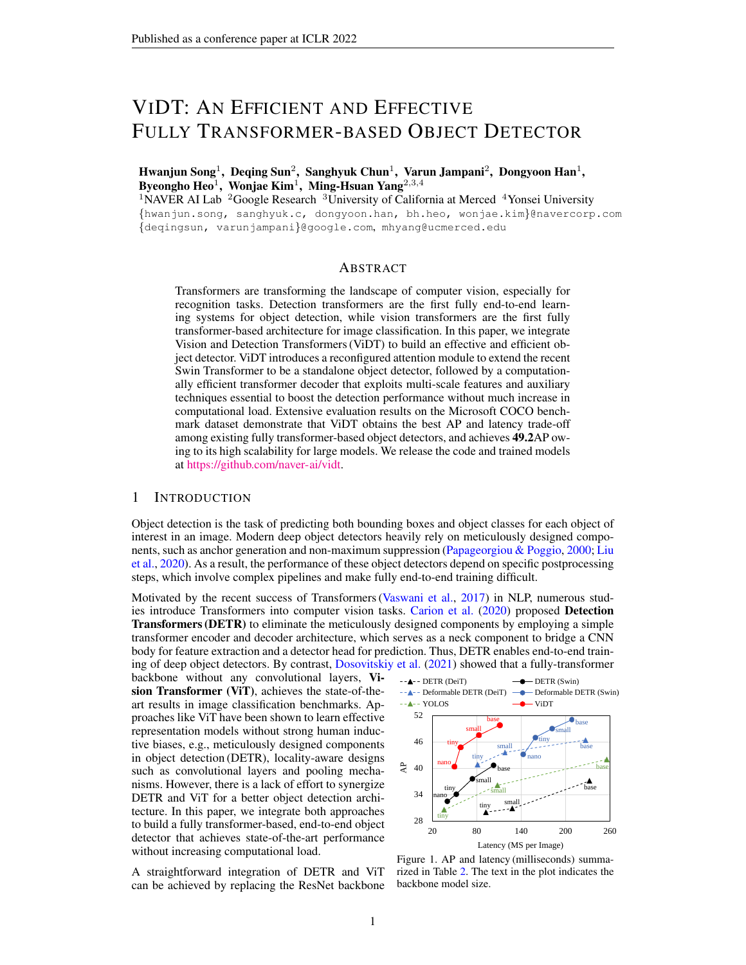# <span id="page-11-1"></span>An Efficient and Effective Fully Transformer-based Object Detector (Supplementary Material)

# <span id="page-11-0"></span>A RECONFIGURED ATTENTION MODULE

The proposed RAM in Figure [3](#page-3-0) performs three attention operations, namely [PATCH] [PATCH], [DET] [PATCH], and [DET] [DET] attention. This section provides (1) computational complexity analysis and (2) further algorithmic design for [DET] tokens.

# A.1 COMPUTATIONAL COMPLEXITY ANALYSIS

We analyze the computational complexity of the proposed RAM compared with the attention used in YOLOS. The analysis is based on the computational complexity of basic building blocks for Canonical and Swin Transformer, which is summarized in Table  $9<sup>4</sup>$  $9<sup>4</sup>$  $9<sup>4</sup>$  $9<sup>4</sup>$ , where  $T_1$  and  $T_2$  is the number of tokens for self- and cross-attention, and  $d$  is the embedding dimension.

<span id="page-11-2"></span>

| <b>Transformer</b> | Canonical Transformer                                        | Swin Transformer              |                                                          |
|--------------------|--------------------------------------------------------------|-------------------------------|----------------------------------------------------------|
| Attention          | Global Self-attention                                        | Local Self-attention          |                                                          |
| Complexity         | $\mathcal{O}(\hat{d}^2\mathsf{T}_1 + \hat{d}\mathsf{T}_1^2)$ | $O(d^2(T_1 + T_2) + dT_1T_2)$ | $\mathcal{O}(\hat{d}^2\mathsf{T}_1 + d k^2\mathsf{T}_1)$ |

Table 9. Computational complexity of attention modules: In the canonical transformer, the complexity of global self-attention is  $\mathcal{O}(\hat{d}^2T_1 + \hat{d}T_1^2)$ , where  $\mathcal{O}(\hat{d}^2T_1)$  is the cost of computing the query, key, and value embeddings and  $\mathcal{O}(\sigma T_1^2)$  is the cost of computing the attention weights. The complexity of global cross-attention is  $\mathcal{O}(\tilde{d}^2(T_1 + T_2) + dT_1T_2)$ , which is the interaction between the two different tokens  $T_1$  and  $T_2$ . In contrast, Swin Transformer achieves much lower attention complexity of  $O(d^2T_1 + dk^2T_1)$  with window partitioning, where k is the width and height of the window ( $k \ll T_1/T_2$ ).

Let P and D be the number of [PATCH] and [DET] tokens (D  $\lt$  P in practice, e.g., P = 66; 650 and  $D = 100$  at the first stage of ViDT). Then, the computational complexity of the attention module for YOLOS and ViDT (RAM) is derived as below, also summarized in Table [10:](#page-11-4)

- YOLOS Attention: [DET] tokens are simply appended to [PATCH] tokens to perform global selfattention on [PATCH; DET] tokens (i.e.,  $T_1 = P + D$ ). Thus, the computational complexity is  $O(d^2(P + D) + d(P + D)^2)$ , which is *quadratic* to the number of [PATCH] tokens. If breaking down the total complexity, we obtain  $O (d^2P + dP^2) + (d^2D + dD^2) + dPD$ , where the first and second terms are for the global self-attention for [PATCH] and [DET] tokens, respectively, and the last term is for the global cross-attention between them.
- ViDT (RAM) Attention: RAM performs the three different attention operations: (1) [PATCH] [PATCH] local self-attention with window partition,  $O(d^2P + dk^2P)$ ; (2) [DET] [DET] global selfattention,  $O(d^2D + dD^2)$ ; (3) [DET] [PATCH] global cross-attention,  $O(d^2(D + P) + dDP)$ . In total, the computational complexity of RAM is  $O(d^2(D + P) + dk^2P + dD^2 + dDP)$ , which is *linear* to the number of [PATCH] tokens.

Consequently, the complexity of RAM is much lower than the attention module used in YOLOS since D << P. Note that only RAM achieves the *linear* complexity to the patch tokens. In addition, one might argue that YOLOS can be efficient if the cross-attention is selectively removed similar to RAM. Even if we remove the complexity  $O(dPD)$  for the global cross-attention, the computational complexity is  $O(d^2(P + D) + dP^2 + dD^2)$ , which is still *quadratic* to the number of [PATCH] tokens.

<span id="page-11-4"></span>

| <b>Attention Type</b>                          | YOLOS                        | <b>ViDT</b>                                                             |
|------------------------------------------------|------------------------------|-------------------------------------------------------------------------|
| $[PATCH] \times [PATCH]$                       | $O(d^2P + dP^2)$             | $O(d^2P + dk^2P)$                                                       |
| $[DET] \times [DET]$<br>$[DET] \times [PATCH]$ | $O(d^2D + dD^2)$<br>O(dPD)   | $\mathcal{O}(\hat{d}^2D + dD^2)$<br>$\mathcal{O}(\hat{d}^2(D+P) + dDP)$ |
| <b>Total Complexity</b>                        | $O(d^2(P + D) + d(P + D)^2)$ | $\mathcal{O}(d^2(D+P) + dk^2P + dD^2 + dDP)$                            |

Table 10. Summary of computational complexity for different attention operations used in YOLOS and ViDT (RAM), where P and D are the number of [PATCH] and [DET] tokens, respectively (D << P).

<span id="page-11-3"></span><sup>4</sup>We used the computational complexity reported in the original paper [\(Vaswani et al.,](#page-10-2) [2017;](#page-10-2) [Liu et al.,](#page-10-3) [2021\)](#page-10-3)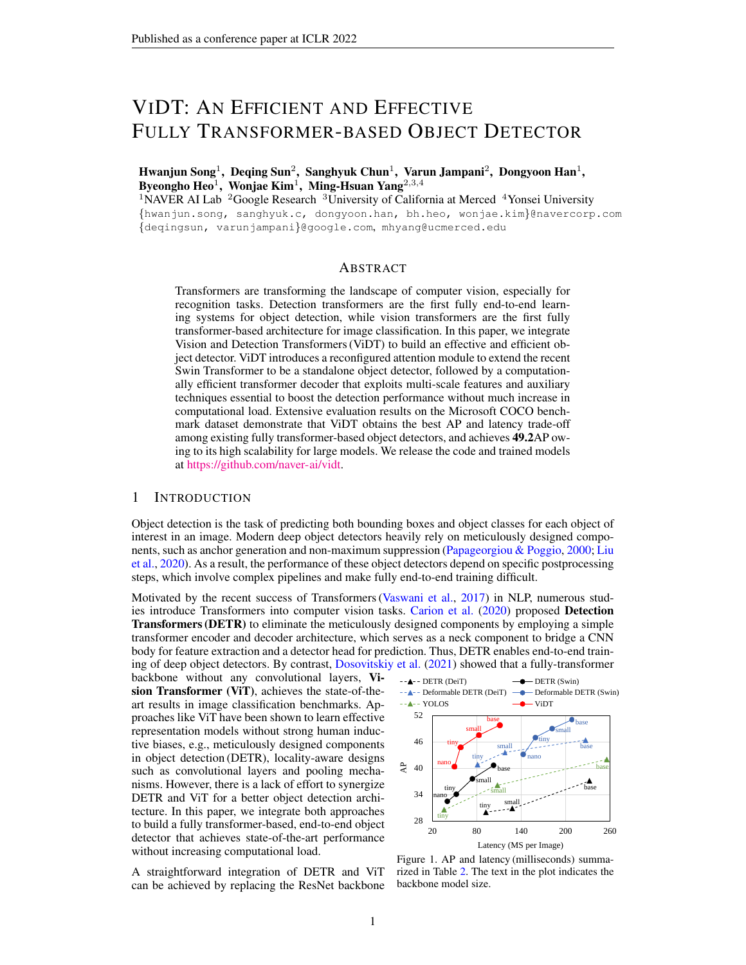### <span id="page-12-4"></span>A.2 ALGORITHMIC DESIGN FOR [DET] TOKENS

### A.2.1 BINDING [DET] [DET] AND [DET] [PATCH] ATTENTION

Binding the two attention modules is very simple in implementation. [DET] [DET] and [DET] [PATCH] attention is generating a new [DET] token, which aggregates relevant contents in [DET] and [PATCH] tokens, respectively. Since the two attention share exactly the same [DET] query embedding obtained after the projection as shown in Figure [3,](#page-3-0) they can be processed at once by performing the scaled-dot product between  $[DEF]_Q$  and  $[DET]_K$ ;  $[PATH]_K$  embeddings, where  $Q$ , K are the key and query, and [ ] is the concatenation. Then, the obtained attention map is applied to the  $[DET]_V$ ; [PATCH]<sub>V</sub> embeddings, where V is the value and d is the embedding dimension,

$$
[DET]_{new} = \text{Softmax} \frac{[DET]_Q [DET]_K / [PATCH]_K}{\overline{d}}) [DET]_V / [PATCH]_V
$$
 (3)

This approach is commonly used in the recent Transformer-based architectures, such as YOLOS.

### A.2.2 EMBEDDING DIMENSION OF [DET] TOKENS

[DET] [DET] attention is performed across all the stages, and the embedding dimension of [DET] tokens increases gradually like [PATCH] tokens. For the [PATCH] token, its embedding dimension is increased by concatenating nearby [PATCH] tokens in a grid. However, this mechanism is not applicable for [DET] tokens since we maintain the same number of [DET] tokens for detecting a fixed number of objects in a scene. Hence, we simply repeat a [DET] token multiple times along the embedding dimension to increase its size. This allows [DET] tokens to reuse all the projection and normalization layers in Swin Transformer without any modification.

# <span id="page-12-3"></span>B EXPERIMENTAL DETAILS

### <span id="page-12-2"></span>B.1 SWIN-NANO ARCHITECTURE

Due to the absence of Swin models comparable to Deit-tiny, we configure Swin-nano, which is a 0.25 model of Swin-tiny such that it has 6M training parameters comparable to Deit-tiny. Table [11](#page-12-5) summarizes the configuration of Swin Transformer models available, including the newly introduced Swinnano; S1–S4 indicates the four stages in Swin Transformer. The performance of all the pre-trained Swin

<span id="page-12-5"></span>

| Model      | Channel | Layer Numbers |                |                |    |  |  |
|------------|---------|---------------|----------------|----------------|----|--|--|
| Name       | Dim.    | S1            | S <sub>2</sub> | S <sub>3</sub> | S4 |  |  |
| Swin-nano  | 48      |               |                | h              |    |  |  |
| Swin-tiny  | 96      |               |                | 6              |    |  |  |
| Swin-small | 128     |               | 2              | 18             |    |  |  |
| Swin-base  | 192     |               |                | 18             |    |  |  |

Table 11. Swin Transformer Architecture.

Transformer models are summarized in Table [1](#page-5-1) in the manuscript.

#### <span id="page-12-0"></span>B.2 DETECTION PIPELINES OF ALL COMPARED DETECTORS

All the compared fully transformer-based detectors are composed of either (1) *body–neck–head* or (2) *body–head* structure, as summarized in Table [12.](#page-13-2) The main difference of ViDT is the use of reconfigured attention modules (RAM) for Swin Transformer, allowing the extraction of fine-grained detection features directly from the input image. Thus, Swin Transformer is extended to a standalone object detector called ViDT (w.o. Neck). Further, its extension to ViDT allows to use multi-scale features and multiple essential techniques for better detection, such as auxiliary decoding loss and iterative box refinement, by only maintaining a transformer decoder at the neck. Except for the two neck-free detector, YOLOS and ViDT (w.o. Neck), all the pipelines maintain multiple FFNs; that is, a single FFNs for each decoding layer at the neck for box regression and classification.

We believe that our proposed RAM can be combined with even other latest efficient vision transformer architectures, such as PiT [\(Heo et al.,](#page-9-4) [2021\)](#page-9-4), PVT [\(Wang et al.,](#page-10-9) [2021\)](#page-10-9) and Cross-ViT [\(Chen](#page-9-10) [et al.,](#page-9-10) [2021\)](#page-9-10). We leave this as future work.

### <span id="page-12-1"></span>B.3 HYPERPARAMETERS OF NECK TRANSFORMERS

The transformer decoder at the neck in ViDT introduces multiple hyperparameters. We follow exactly the same setting used in Deformable DETR. Specifically, we use six layers of deformable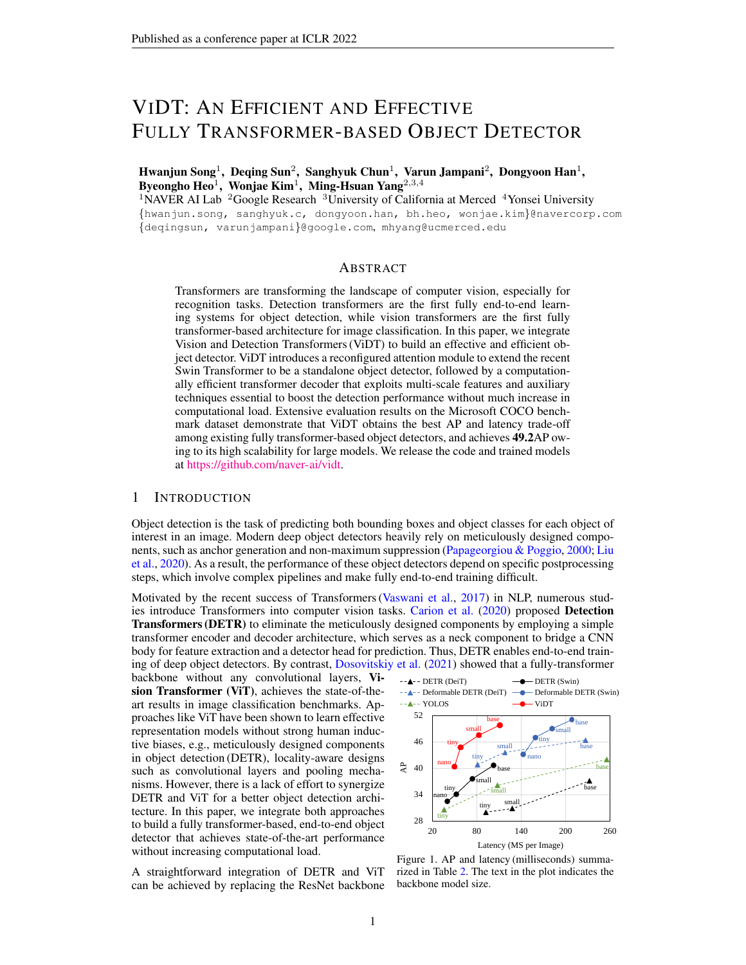<span id="page-13-2"></span><span id="page-13-1"></span>

| Pipeline                                                                       | Body                                                                         | <b>Neck</b> | Head                              |                                                                  |
|--------------------------------------------------------------------------------|------------------------------------------------------------------------------|-------------|-----------------------------------|------------------------------------------------------------------|
| Method Name                                                                    | <b>Feature Extractor</b>                                                     |             | Tran. Encoder Tran. Decoder       | Prediction                                                       |
| DETR (DeiT)<br>DETR (Swin)<br>Deformable DETR (DeiT)<br>Deformable DETR (Swin) | DeiT Transformer<br>Swin Transformer<br>DeiT Transformer<br>Swin Transformer |             | $\bigcirc$<br>$\bigcirc^{\jmath}$ | Multiple FFNs<br>Multiple FFNs<br>Multiple FFNs<br>Multiple FFNs |
| YOLOS                                                                          | DeiT Transformer                                                             | ×           | ×                                 | Single FFNs                                                      |
| $ViDT$ (w.o. Neck)<br>ViDT                                                     | Swin Transformer + RAM<br>Swin Transformer + RAM                             | ×           | ×<br>( ) <sup>)</sup>             | Single FFNs<br>Multiple FFNs                                     |

Table 12. Comparison of detection pipelines for all available fully transformer-based object detectors, where † indicates that multi-scale deformable attention is used for neck transformers.

transformers with width 256; thus, the channel dimension of the [PATCH] and [DET] tokens extracted from Swin Transformer are reduced to 256 to be utilized as compact inputs to the decoder transformer. For each transformer layer, multi-head attention with eight heads is applied, followed by the point-wise FFNs of 1024 hidden units. Furthermore, an additive dropout of 0.1 is applied before the layer normalization. All the weights in the decoder are initialized with Xavier initialization. For (Deformable) DETR, the tranformer decoder receives a fixed number of learnable detection tokens. We set the number of detection tokens to 100, which is the same number used for YOLOS and ViDT.

### <span id="page-13-0"></span>B.4 IMPLEMENTATION

#### B.4.1 DETECTION HEAD FOR PREDICTION

The last [DET] tokens produced by the body or neck are fed to a 3-layer FFNs for bounding box regression and linear projection for classification,

$$
\hat{B} = \text{FFN}_{3\text{-layer}} \text{ [DET]} \quad \text{and} \quad \hat{P} = \text{Linear [DET]} \tag{4}
$$

For box regression, the FFNs produce the bounding box coordinates for *d* objects,  $\hat{B} \, \mathcal{Q} \, [0,1]^{d-4}$ , that encodes the normalized box center coordinates along with its width and height. For classification, the linear projection uses a softmax function to produce the classification probabilities for all possible classes including the background class,  $\hat{P} \supseteq [0, 1]^{d}$  (c+1), where c is the number of object classes. When deformable attention is used on the neck in Table [12,](#page-13-2) only  $c$  classes are considered without the background class for classification. This is the original setting used in DETR, YOLOS [\(Carion](#page-9-0) [et al.,](#page-9-0) [2020;](#page-9-0) [Fang et al.,](#page-9-2) [2021\)](#page-9-2) and Deformable DETR [\(Zhu et al.,](#page-10-6) [2021\)](#page-10-6).

### B.4.2 LOSS FUNCTION FOR TRAINING

All the methods adopts the loss function of (Deformable) DETR. Since the detection head return a fixed-size set of  $d$  bounding boxes, where  $d$  is usually larger than the number of actual objects in an image, Hungarian matching is used to find a bipartite matching between the predicted box  $\hat{\beta}$  and the ground-truth box B. In total, there are three types of training loss: a classification loss  $\partial_t^5$  $\partial_t^5$ , a box distance  $i_1$ , and a GIoU loss  $i_{iou}$  [\(Rezatofighi et al.,](#page-10-10) [2019\)](#page-10-10),

$$
c_{cl}(\hat{\mathbf{l}}) = \log \hat{P}_{\sigma(i),ci}, \quad c_{1}(\hat{\mathbf{l}}) = j\beta_{i} \quad \hat{B}_{\sigma(i)}j\text{ and}
$$

$$
c_{ion}(\hat{\mathbf{l}}) = 1 \quad \frac{jB_{i} \setminus \hat{B}_{\sigma(i)}j}{jB_{i} \left[ \hat{B}_{\sigma(i)}j \right]} \quad \frac{jB(B_{i} \cdot \hat{B}_{\sigma(i)}) \cap B_{i} \left[ \hat{B}_{\sigma(i)}j \right]}{jB(B_{i} \cdot \hat{B}_{\sigma(i)})j} \quad (5)
$$

where  $c_i$  and (i) are the target class label and bipartite assignment of the *i*-th ground-truth box, and B returns the largest box containing two given boxes. Thus, the final loss of object detection is a linear combination of the three types of training loss,

$$
\ell = \lambda_{cl} \ell_{cl} + \lambda_{\ell_1} \ell_{l_1} + \lambda_{iou} \ell_{iou}.
$$
 (6)

<span id="page-13-3"></span> ${}^5$ Cross-entropy loss is used with standard transformer architectures, while focal loss [\(Lin et al.,](#page-9-11) [2017\)](#page-9-11) is used with deformable transformer architecture.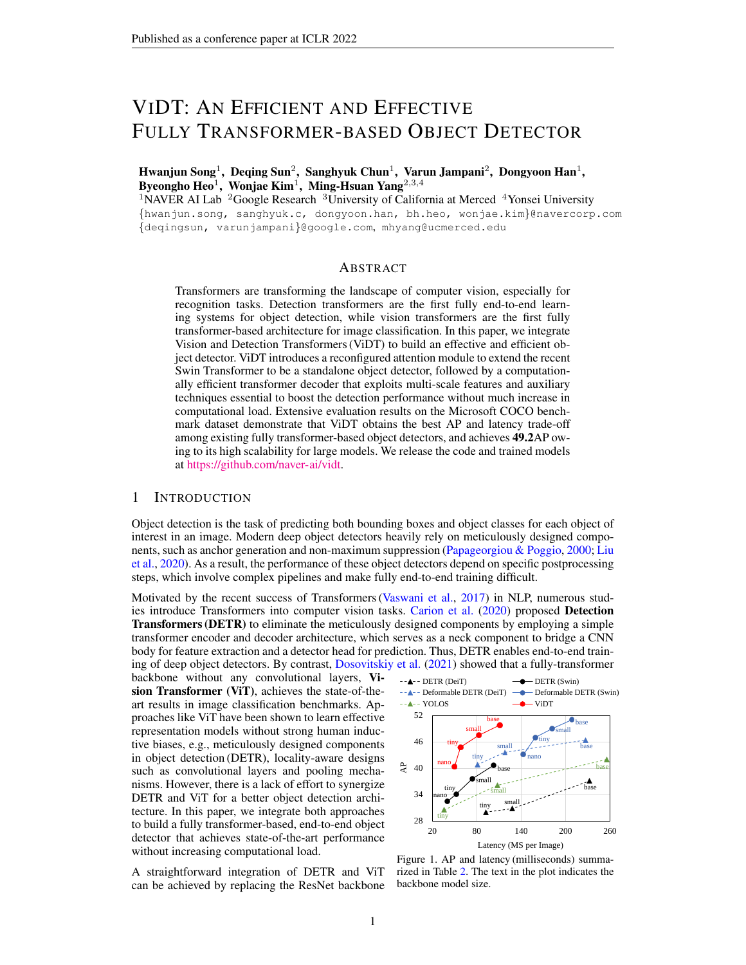<span id="page-14-4"></span><span id="page-14-3"></span>

| Method       | Backbone    | Epochs | AP   | $AP_{50}$ | AP <sub>75</sub> | AP <sub>S</sub> | $AP_M$ | AP <sub>I</sub> | Param. | <b>FPS</b> |
|--------------|-------------|--------|------|-----------|------------------|-----------------|--------|-----------------|--------|------------|
| <b>DETR</b>  | $ResNet-50$ | 500    | 42.0 | 62.4      | 44.2             | 20.5            | 45.8   | 61.1            | 41M    | 22.8(38.6) |
| DETR-DC5     | $ResNet-50$ | 500    | 43.3 | 63.1      | 45.9             | 22.5            | 47.3   | 61.1            | 41M    | 12.8(14.2) |
| DETR-DC5     | ResNet-50   | 50     | 35.3 | 55.7      | 36.8             | 15.2            | 37.5   | 53.6            | 41M    | 12.8(14.2) |
| Deform. DETR | ResNet-50   | 50     | 45.4 | 64.7      | 49.0             | 26.8            | 48.3   | 61.7            | 40M    | 13.7(19.4) |
| <b>ViDT</b>  | Swin-tiny   | 50     | 44.8 | 64.5      | 48.7             | 25.9            | 47.6   | 62.1            | 38M    | 17.2(26.5) |
| <b>ViDT</b>  | Swin-tiny   | 150    | 47.2 | 66.7      | 51.4             | 28.4            | 50.2   | 64.7            | 38M    | 17.2(26.5) |

Table 13. Evaluations of ViDT with other detectors using CNN backbones on COCO2017 val set. FPS is measured with batch size 1 of 800  $\times$  1333 resolution on a single Tesla V100 GPU, where the value inside the parentheses is measured with batch size 4 of the same resolution to maximize GPU utilization.

<span id="page-14-5"></span>

| Method          | <b>Backbone</b> | AP   | $AP_{50}$ | $AP_{75}$ | AP <sub>S</sub> | $AP_{M}$ | AP <sub>L</sub> | Param. | <b>FPS</b> |
|-----------------|-----------------|------|-----------|-----------|-----------------|----------|-----------------|--------|------------|
| Deformable DETR | Swin-nano       | 43.1 | 61.4      | 46.3      | 25.9            | 45.2     | 59.4            | 17M    | 7.0        |
| - neck encoder  |                 | 34.0 | 52.8      | 35.6      | 18.0            | 36.3     | 48.4            | 14M    | 22.4       |
| <b>YOLOS</b>    | DeiT-tiny       | 30.4 | 48.6      | 31.1      | 12.4            | 31.8     | 48.2            | 6M     | 28.1       |
| + neck decoder  |                 | 38.1 | 57.1      | 40.2      | 20.1            | 40.2     | 56.0            | 14M    | 17.1       |
| ViDT            | Swin-nano       | 40.4 | 59.6      | 43.3      | 23.2            | 42.5     | 55.8            | 16M    | 20.0       |
| + neck encoder  |                 | 46.1 | 64.1      | 49.7      | 28.5            | 48.7     | 61.7            | 19M    | 6.3        |

Table 14. Variations of Deformable DETR, YOLOS, and ViDT with respect to their neck structure. They are trained for 50 epochs with the same configuration used in our main experimental results.

The coefficient for each training loss is set to be  $c_l = 1$ ,  $\ell_1 = 5$ , and  $i_{ou} = 2$ . If we leverage auxiliary decoding loss, the final loss is computed for every detection head separately and merged with equal importance. Additionally, ViDT adds the distillation loss in Eq. [\(2\)](#page-4-0) to the final loss if the distillation approach in Section [3.3](#page-4-1) is enabled for training.

# <span id="page-14-0"></span>B.5 TRAINING CONFIGURATION

We train ViDT for 50 epochs using AdamW [\(Loshchilov & Hutter,](#page-10-8) [2019\)](#page-10-8) with the same initial learning rate of 10 $^{-4}$  for its body, neck and head. The learning rate is decayed by cosine annealing with batch size of 16, weight decay of 1  $10^{-4}$ , and gradient clipping of 0.1. In contrast, ViDT (w.o. Neck) is trained for 150 epochs using AdamW with the initial learning rate of  $5-10^{-5}$  by cosine annealing. The remaining configuration is the same as for ViDT.

Regarding DETR (ViT), we follow the setting of Deformable DETR. Thus, all the variants of this pipeline are trained for 50 epochs with the initial learning rate of  $10^{-5}$  for its pre-trained body (ViT backbone) and 10  $<sup>4</sup>$  for its neck and head. Their learning rates are decayed at the 40-th epoch by a</sup> factor of 0.1. Meanwhile, the results of YOLOS are borrowed from the original paper [\(Fang et al.,](#page-9-2) [2021\)](#page-9-2) except YOLOS (DeiT-tiny); since the result of YOLOS (DeiT-tiny) for 800 1333 is not reported in the paper, we train it by following the training configuration suggested by authors.

# C SUPPLEMENTARY EVALUATION

# <span id="page-14-1"></span>C.1 COMPARISON WITH OBJECT DETECTOR USING CNN BACKBONE

We compare ViDT with (Deformable) DETR using the ResNet-50 backbone, as summarized in Table [13,](#page-14-4) where all the results except ViDT are borrowed from [\(Carion et al.,](#page-9-0) [2020;](#page-9-0) [Zhu et al.,](#page-10-6) [2021\)](#page-10-6), and DETR-DC5 is a modification of DETR to use a dilated convolution at the last stage in ResNet. For a fair comparison, we compare ViDT (Swin-tiny) with similar parameter numbers. In general, ViDT shows a better trade-off between AP and FPS even compared with (Deformable) DETR with the ResNet-50. Specifically, ViDT achieves FPS much higher than DETR-DC5 and Deformable DETR with competitive AP. Particularly when training ViDT for 150 epochs, ViDT outperforms other compared methods using the ResNet-50 backbone in terms of both AP and FPS.

### <span id="page-14-2"></span>C.2 VARIATIONS OF EXISTING PIPELINES

We study more variations of existing detection methods by modifying their original pipelines in Table [12.](#page-13-2) Thus, we remove the neck encoder of Deformable DETR to increase its efficiency, while adding a neck decoder to YOLOS to leverage multi-scale features along with auxiliary decoding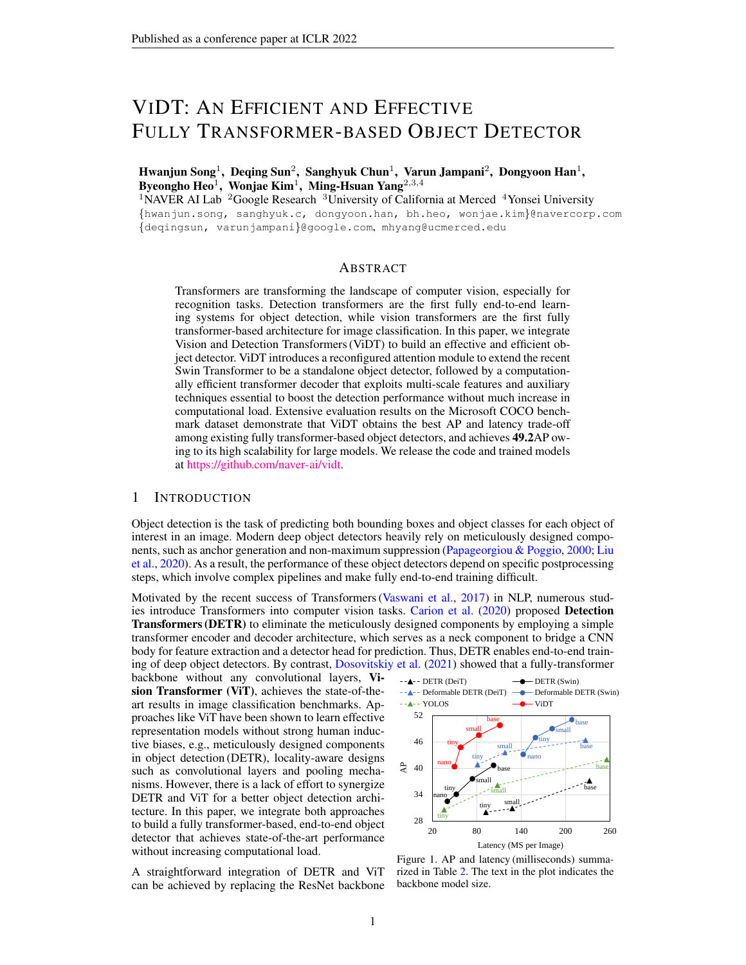<span id="page-15-0"></span>



Figure 4. Visualization of the attention map for cross-attention with ViDT (Swin-nano).

loss and iterative box refinement. Note that these modified versions follow exactly the same detection pipeline with ViDT, maintaining a *encoder-free* neck between their body and head. Table [14](#page-14-5) summarizes the performance of all the variations in terms of AP, FPS, and the number of parameters.

**Deformable DETR** shows significant improvement in FPS ( $+14.4$ ) but its AP drops sharply ( $9.1$ ) when its neck encoder is removed. Thus, it is difficult to obtain fine-grained object detection representation directly from the raw ViT backbone without using an additional neck encoder. However, ViDT compensates for the effect of the neck encoder by adding [DET] tokens into the body (backbone), thus successfully removing the computational bottleneck without compromising AP; it maintains 6.4 higher AP compared with the neck encoder-free Deformable DETR (the second row) while achieving similar FPS. This can be attributed to that RAM has a great contribution to the performance w.r.t AP and FPS, especially for the trade-off between them.

YOLOS shows a significant gain in  $AP(+7.7)$  while losing FPS (11.0) when the neck decoder is added. Unlike Deformable DETR, its AP significantly increases even without the neck encoder due to the use of a standalone object detector as its backbone (i.e., the modified DeiT in Figure [2\(](#page-1-0)b)). However, its AP is lower than ViDT by 2.3AP. Even worse, it is not scalable for large models because of its quadratic computational cost for attention. Therefore, in the aspects of accuracy and speed, ViDT maintains its dominance compared with the two carefully tuned baselines.

For a complete analysis, we additionally add a neck encoder to ViDT. The inference speed of ViDT degrades drastically by 13:7 because of the self-attention for multi-scale features at the neck encoder. However, it is interesting to see the improvement of AP by 5:7 while adding only 3M parameters; it is 3:0 higher even than Deformable DETR. This indicates that lowering the computational complexity of the encoder and thus increasing its utilization could be another possible direction for a fully transformer-based object detector.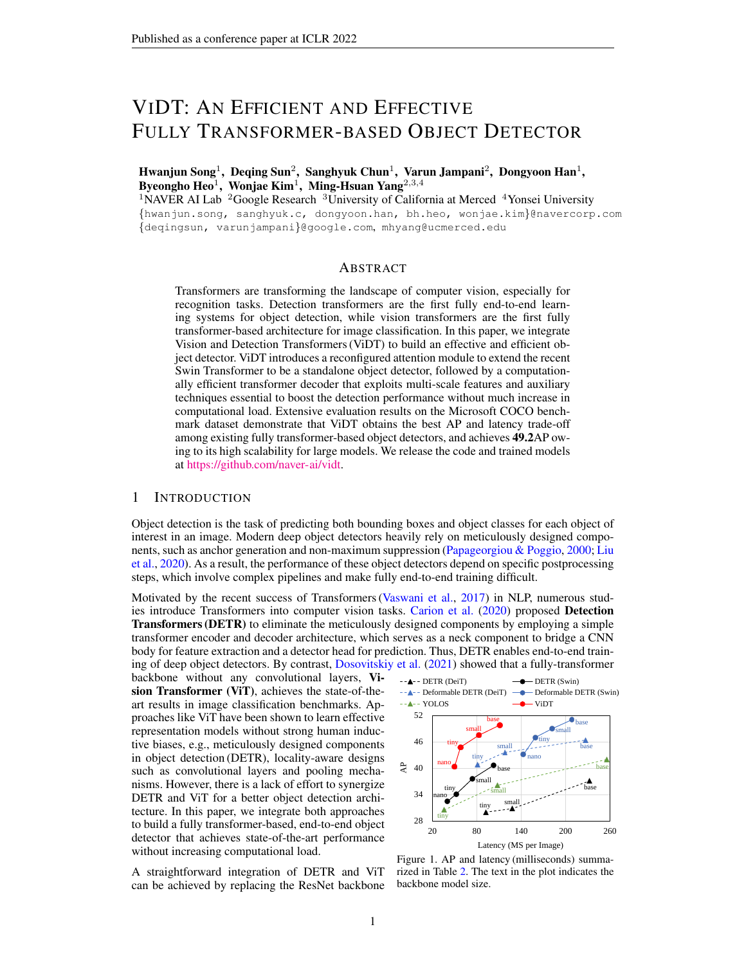### <span id="page-16-2"></span><span id="page-16-0"></span>C.3 [DET] [PATCH] ATTENTION IN RAM

In Section [4.2.2,](#page-7-1) it turns out that the cross-attention in RAM is only necessary at the last stage of Swin Transformer; all the different selective strategies show similar AP as long as cross-attention is activated at the last stage. Hence, we analyze the attention map obtained by the cross-attention in RAM. Figure [4](#page-15-0) shows attention maps for the stages of Swin Transformer where cross-attention is utilized; it contrasts (a) ViDT with cross-attention at all stages and (b) ViDT with cross-attention at the last stage. Regardless of the use of cross-attention at the lower stage, it is noteworthy that the finally obtained attention map at the last stage is almost the same. In particular, the attention map at Stage 1–3 does not properly focus the features on the target object, which is framed by the bounding box. In addition, the attention weights (color intensity) at Stage 1–3 are much lower than those at Stage 4. Since features are extracted from a low level to a high level in a bottom-up manner as they go through the stages, it seems difficult to directly get information about the target object with such low-level features at the lower level of stages. Therefore, this analysis provides strong empirical evidence for the use of selective [DET] [PATH] cross-attention.

### <span id="page-16-1"></span>C.4 [DET] [DET] ATTENTION IN RAM

Another possible consideration for ViDT is the use of [DET] [DET] self-attention in RAM. We conduct an ablation study by removing the [DET] [DET] attention one by one from the bottom stage, and summarize the results in Table [15.](#page-16-3) When all the [DET] [DET] self-attention are removed, (5) the AP drops by 0.7, which is a meaningful performance degradation. On the other hand, as long as the selfattention is activated at the last two stages,  $(1) - (3)$ all the strategies exhibit similar AP. Therefore, only

<span id="page-16-3"></span>

|     |   |   | Stage Id | Swin-nano |      |            |
|-----|---|---|----------|-----------|------|------------|
| #   |   | 2 |          |           | AP   | <b>FPS</b> |
| (1) | X | X |          | X         | 40.4 | 20.0       |
| (2) |   | X |          | X         | 40.3 | 20.1       |
| (3) |   |   |          | Χ         | 40.4 | 20.2       |
| (4) |   |   |          | ×         | 40.1 | 20.3       |
| (5) |   |   |          |           | 39.7 | 20.4       |

Table 15. AP and FPS comparison with different [DET]  $\times$  [DET] self-attention strategies with ViDT.

keeping [DET] [DET] self-attention at the last two stages can further increase FPS  $(+0.2)$  without degradation in AP. This observation could be used as another design choice for the AP and FPS trade-off. Therefore, we believe that [DET] [DET] self-attention is meaningful to use in RAM.

### D PRELIMINARIES: TRANSFORMERS

A transformer is a deep model that entirely relies on the self-attention mechanism for machine translation [\(Vaswani et al.,](#page-10-2) [2017\)](#page-10-2). In this section, we briefly revisit the standard form of the transformer.

**Single-head Attention.** The basic building block of the transformer is a self-attention module, which generates a weighted sum of the values (contents), where the weight assigned to each value is the attention score computed by the scaled dot-product between its query and key. Let  $W_Q$ ,  $W_K$ , and  $W_V$  be the learned projection matrices of the attention module, and then the output is generated by

$$
\text{Attention}(Z) = \text{softmax} \frac{(ZW_Q)(ZW_K)^{2}}{\sigma} (ZW_V) 2 \mathbb{R}^{hw} \, d
$$
\n
$$
\text{where} \, W_Q; W_K; W_V 2 \mathbb{R}^{d} \, d
$$
\n
$$
(7)
$$

**Multi-head Attention.** It is beneficial to maintain multiple heads such that they repeat the linear projection process k times with different learned projection matrices. Let  $W_{Q_i}$ ,  $W_{K_i}$ , and  $W_{V_i}$ be the learned projection matrices of the *i*-th attention head. Then, the output is generated by the concatenation of the results from all heads,

Multi-Head(*Z*) = [Attention<sub>1</sub>(*Z*);Attention<sub>2</sub>(*Z*);::;Attention<sub>k</sub>(*Z*)] 
$$
\supseteq \mathbb{R}^{hw} \stackrel{d}{\rightarrow}
$$
  
where  $\mathcal{B}_i W_{Q_i} : W_{K_i} : W_{V_i} \supseteq \mathbb{R}^{d} \quad (d/k)$ . (8)

Typically, the dimension of each head is divided by the total number of heads.

Feed-Forward Networks (FFNs). The output of the multi-head attention is fed to the point-wise FFNs, which performs the linear transformation for each position separately and identically to allow the model focusing on the contents of different representation subspaces. Here, the residual connec